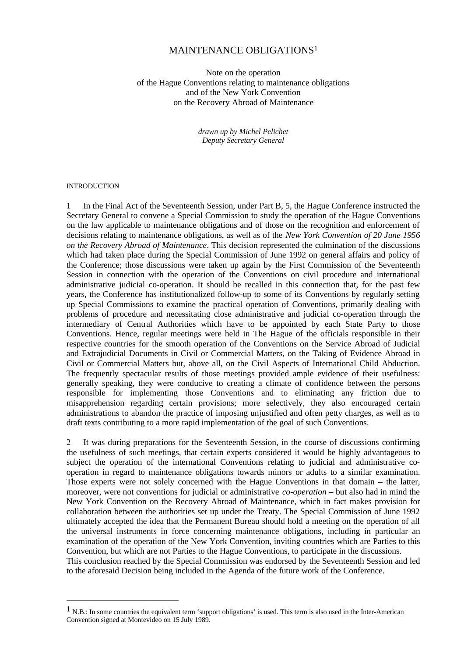### MAINTENANCE OBLIGATIONS1

Note on the operation of the Hague Conventions relating to maintenance obligations and of the New York Convention on the Recovery Abroad of Maintenance

> *drawn up by Michel Pelichet Deputy Secretary General*

#### **INTRODUCTION**

 $\overline{a}$ 

1 In the Final Act of the Seventeenth Session, under Part B, 5, the Hague Conference instructed the Secretary General to convene a Special Commission to study the operation of the Hague Conventions on the law applicable to maintenance obligations and of those on the recognition and enforcement of decisions relating to maintenance obligations, as well as of the *New York Convention of 20 June 1956 on the Recovery Abroad of Maintenance*. This decision represented the culmination of the discussions which had taken place during the Special Commission of June 1992 on general affairs and policy of the Conference; those discussions were taken up again by the First Commission of the Seventeenth Session in connection with the operation of the Conventions on civil procedure and international administrative judicial co-operation. It should be recalled in this connection that, for the past few years, the Conference has institutionalized follow-up to some of its Conventions by regularly setting up Special Commissions to examine the practical operation of Conventions, primarily dealing with problems of procedure and necessitating close administrative and judicial co-operation through the intermediary of Central Authorities which have to be appointed by each State Party to those Conventions. Hence, regular meetings were held in The Hague of the officials responsible in their respective countries for the smooth operation of the Conventions on the Service Abroad of Judicial and Extrajudicial Documents in Civil or Commercial Matters, on the Taking of Evidence Abroad in Civil or Commercial Matters but, above all, on the Civil Aspects of International Child Abduction. The frequently spectacular results of those meetings provided ample evidence of their usefulness: generally speaking, they were conducive to creating a climate of confidence between the persons responsible for implementing those Conventions and to eliminating any friction due to misapprehension regarding certain provisions; more selectively, they also encouraged certain administrations to abandon the practice of imposing unjustified and often petty charges, as well as to draft texts contributing to a more rapid implementation of the goal of such Conventions.

2 It was during preparations for the Seventeenth Session, in the course of discussions confirming the usefulness of such meetings, that certain experts considered it would be highly advantageous to subject the operation of the international Conventions relating to judicial and administrative cooperation in regard to maintenance obligations towards minors or adults to a similar examination. Those experts were not solely concerned with the Hague Conventions in that domain – the latter, moreover, were not conventions for judicial or administrative *co-operation* – but also had in mind the New York Convention on the Recovery Abroad of Maintenance, which in fact makes provision for collaboration between the authorities set up under the Treaty. The Special Commission of June 1992 ultimately accepted the idea that the Permanent Bureau should hold a meeting on the operation of all the universal instruments in force concerning maintenance obligations, including in particular an examination of the operation of the New York Convention, inviting countries which are Parties to this Convention, but which are not Parties to the Hague Conventions, to participate in the discussions. This conclusion reached by the Special Commission was endorsed by the Seventeenth Session and led to the aforesaid Decision being included in the Agenda of the future work of the Conference.

 $1$  N.B.: In some countries the equivalent term 'support obligations' is used. This term is also used in the Inter-American Convention signed at Montevideo on 15 July 1989.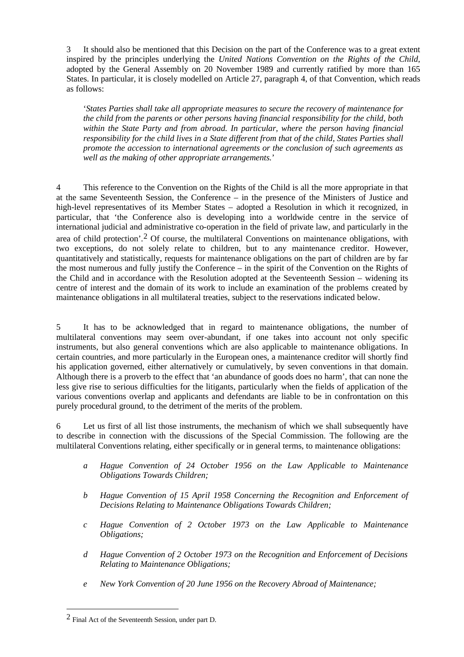3 It should also be mentioned that this Decision on the part of the Conference was to a great extent inspired by the principles underlying the *United Nations Convention on the Rights of the Child*, adopted by the General Assembly on 20 November 1989 and currently ratified by more than 165 States. In particular, it is closely modelled on Article 27, paragraph 4, of that Convention, which reads as follows:

'*States Parties shall take all appropriate measures to secure the recovery of maintenance for the child from the parents or other persons having financial responsibility for the child, both within the State Party and from abroad. In particular, where the person having financial responsibility for the child lives in a State different from that of the child, States Parties shall promote the accession to international agreements or the conclusion of such agreements as well as the making of other appropriate arrangements.*'

4 This reference to the Convention on the Rights of the Child is all the more appropriate in that at the same Seventeenth Session, the Conference – in the presence of the Ministers of Justice and high-level representatives of its Member States – adopted a Resolution in which it recognized, in particular, that 'the Conference also is developing into a worldwide centre in the service of international judicial and administrative co-operation in the field of private law, and particularly in the area of child protection'.2 Of course, the multilateral Conventions on maintenance obligations, with two exceptions, do not solely relate to children, but to any maintenance creditor. However, quantitatively and statistically, requests for maintenance obligations on the part of children are by far the most numerous and fully justify the Conference – in the spirit of the Convention on the Rights of the Child and in accordance with the Resolution adopted at the Seventeenth Session – widening its centre of interest and the domain of its work to include an examination of the problems created by maintenance obligations in all multilateral treaties, subject to the reservations indicated below.

5 It has to be acknowledged that in regard to maintenance obligations, the number of multilateral conventions may seem over-abundant, if one takes into account not only specific instruments, but also general conventions which are also applicable to maintenance obligations. In certain countries, and more particularly in the European ones, a maintenance creditor will shortly find his application governed, either alternatively or cumulatively, by seven conventions in that domain. Although there is a proverb to the effect that 'an abundance of goods does no harm', that can none the less give rise to serious difficulties for the litigants, particularly when the fields of application of the various conventions overlap and applicants and defendants are liable to be in confrontation on this purely procedural ground, to the detriment of the merits of the problem.

6 Let us first of all list those instruments, the mechanism of which we shall subsequently have to describe in connection with the discussions of the Special Commission. The following are the multilateral Conventions relating, either specifically or in general terms, to maintenance obligations:

- *a Hague Convention of 24 October 1956 on the Law Applicable to Maintenance Obligations Towards Children;*
- *b Hague Convention of 15 April 1958 Concerning the Recognition and Enforcement of Decisions Relating to Maintenance Obligations Towards Children;*
- *c Hague Convention of 2 October 1973 on the Law Applicable to Maintenance Obligations;*
- *d Hague Convention of 2 October 1973 on the Recognition and Enforcement of Decisions Relating to Maintenance Obligations;*
- *e New York Convention of 20 June 1956 on the Recovery Abroad of Maintenance;*

 $2$  Final Act of the Seventeenth Session, under part D.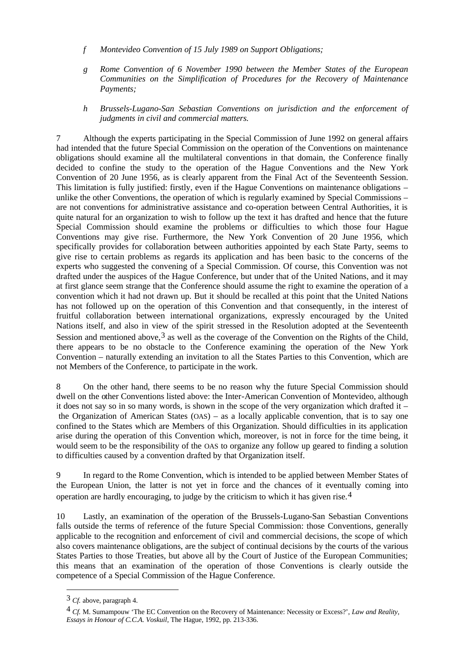- *f Montevideo Convention of 15 July 1989 on Support Obligations;*
- *g Rome Convention of 6 November 1990 between the Member States of the European Communities on the Simplification of Procedures for the Recovery of Maintenance Payments;*
- *h Brussels-Lugano-San Sebastian Conventions on jurisdiction and the enforcement of judgments in civil and commercial matters.*

7 Although the experts participating in the Special Commission of June 1992 on general affairs had intended that the future Special Commission on the operation of the Conventions on maintenance obligations should examine all the multilateral conventions in that domain, the Conference finally decided to confine the study to the operation of the Hague Conventions and the New York Convention of 20 June 1956, as is clearly apparent from the Final Act of the Seventeenth Session. This limitation is fully justified: firstly, even if the Hague Conventions on maintenance obligations – unlike the other Conventions, the operation of which is regularly examined by Special Commissions – are not conventions for administrative assistance and co-operation between Central Authorities, it is quite natural for an organization to wish to follow up the text it has drafted and hence that the future Special Commission should examine the problems or difficulties to which those four Hague Conventions may give rise. Furthermore, the New York Convention of 20 June 1956, which specifically provides for collaboration between authorities appointed by each State Party, seems to give rise to certain problems as regards its application and has been basic to the concerns of the experts who suggested the convening of a Special Commission. Of course, this Convention was not drafted under the auspices of the Hague Conference, but under that of the United Nations, and it may at first glance seem strange that the Conference should assume the right to examine the operation of a convention which it had not drawn up. But it should be recalled at this point that the United Nations has not followed up on the operation of this Convention and that consequently, in the interest of fruitful collaboration between international organizations, expressly encouraged by the United Nations itself, and also in view of the spirit stressed in the Resolution adopted at the Seventeenth Session and mentioned above,  $3$  as well as the coverage of the Convention on the Rights of the Child, there appears to be no obstacle to the Conference examining the operation of the New York Convention – naturally extending an invitation to all the States Parties to this Convention, which are not Members of the Conference, to participate in the work.

8 On the other hand, there seems to be no reason why the future Special Commission should dwell on the other Conventions listed above: the Inter-American Convention of Montevideo, although it does not say so in so many words, is shown in the scope of the very organization which drafted it – the Organization of American States (OAS) – as a locally applicable convention, that is to say one confined to the States which are Members of this Organization. Should difficulties in its application arise during the operation of this Convention which, moreover, is not in force for the time being, it would seem to be the responsibility of the OAS to organize any follow up geared to finding a solution to difficulties caused by a convention drafted by that Organization itself.

9 In regard to the Rome Convention, which is intended to be applied between Member States of the European Union, the latter is not yet in force and the chances of it eventually coming into operation are hardly encouraging, to judge by the criticism to which it has given rise.4

10 Lastly, an examination of the operation of the Brussels-Lugano-San Sebastian Conventions falls outside the terms of reference of the future Special Commission: those Conventions, generally applicable to the recognition and enforcement of civil and commercial decisions, the scope of which also covers maintenance obligations, are the subject of continual decisions by the courts of the various States Parties to those Treaties, but above all by the Court of Justice of the European Communities; this means that an examination of the operation of those Conventions is clearly outside the competence of a Special Commission of the Hague Conference.

<sup>3</sup> *Cf.* above, paragraph 4.

<sup>4</sup> *Cf.* M. Sumampouw 'The EC Convention on the Recovery of Maintenance: Necessity or Excess?', *Law and Reality, Essays in Honour of C.C.A. Voskuil*, The Hague, 1992, pp. 213-336.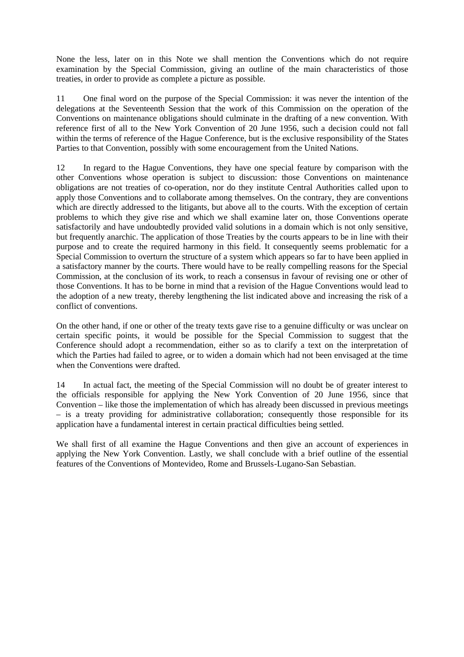None the less, later on in this Note we shall mention the Conventions which do not require examination by the Special Commission, giving an outline of the main characteristics of those treaties, in order to provide as complete a picture as possible.

11 One final word on the purpose of the Special Commission: it was never the intention of the delegations at the Seventeenth Session that the work of this Commission on the operation of the Conventions on maintenance obligations should culminate in the drafting of a new convention. With reference first of all to the New York Convention of 20 June 1956, such a decision could not fall within the terms of reference of the Hague Conference, but is the exclusive responsibility of the States Parties to that Convention, possibly with some encouragement from the United Nations.

12 In regard to the Hague Conventions, they have one special feature by comparison with the other Conventions whose operation is subject to discussion: those Conventions on maintenance obligations are not treaties of co-operation, nor do they institute Central Authorities called upon to apply those Conventions and to collaborate among themselves. On the contrary, they are conventions which are directly addressed to the litigants, but above all to the courts. With the exception of certain problems to which they give rise and which we shall examine later on, those Conventions operate satisfactorily and have undoubtedly provided valid solutions in a domain which is not only sensitive, but frequently anarchic. The application of those Treaties by the courts appears to be in line with their purpose and to create the required harmony in this field. It consequently seems problematic for a Special Commission to overturn the structure of a system which appears so far to have been applied in a satisfactory manner by the courts. There would have to be really compelling reasons for the Special Commission, at the conclusion of its work, to reach a consensus in favour of revising one or other of those Conventions. It has to be borne in mind that a revision of the Hague Conventions would lead to the adoption of a new treaty, thereby lengthening the list indicated above and increasing the risk of a conflict of conventions.

On the other hand, if one or other of the treaty texts gave rise to a genuine difficulty or was unclear on certain specific points, it would be possible for the Special Commission to suggest that the Conference should adopt a recommendation, either so as to clarify a text on the interpretation of which the Parties had failed to agree, or to widen a domain which had not been envisaged at the time when the Conventions were drafted.

14 In actual fact, the meeting of the Special Commission will no doubt be of greater interest to the officials responsible for applying the New York Convention of 20 June 1956, since that Convention – like those the implementation of which has already been discussed in previous meetings – is a treaty providing for administrative collaboration; consequently those responsible for its application have a fundamental interest in certain practical difficulties being settled.

We shall first of all examine the Hague Conventions and then give an account of experiences in applying the New York Convention. Lastly, we shall conclude with a brief outline of the essential features of the Conventions of Montevideo, Rome and Brussels-Lugano-San Sebastian.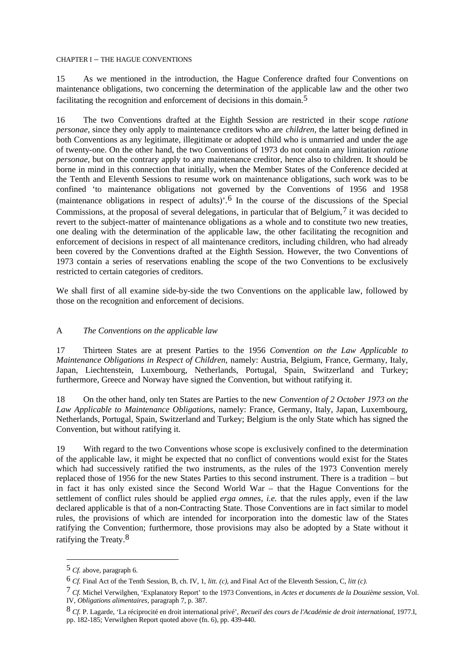#### CHAPTER I – THE HAGUE CONVENTIONS

15 As we mentioned in the introduction, the Hague Conference drafted four Conventions on maintenance obligations, two concerning the determination of the applicable law and the other two facilitating the recognition and enforcement of decisions in this domain.<sup>5</sup>

16 The two Conventions drafted at the Eighth Session are restricted in their scope *ratione personae*, since they only apply to maintenance creditors who are *children*, the latter being defined in both Conventions as any legitimate, illegitimate or adopted child who is unmarried and under the age of twenty-one. On the other hand, the two Conventions of 1973 do not contain any limitation *ratione personae*, but on the contrary apply to any maintenance creditor, hence also to children. It should be borne in mind in this connection that initially, when the Member States of the Conference decided at the Tenth and Eleventh Sessions to resume work on maintenance obligations, such work was to be confined 'to maintenance obligations not governed by the Conventions of 1956 and 1958 (maintenance obligations in respect of adults)'.6 In the course of the discussions of the Special Commissions, at the proposal of several delegations, in particular that of Belgium,  $\frac{7}{1}$  it was decided to revert to the subject-matter of maintenance obligations as a whole and to constitute two new treaties, one dealing with the determination of the applicable law, the other facilitating the recognition and enforcement of decisions in respect of all maintenance creditors, including children, who had already been covered by the Conventions drafted at the Eighth Session. However, the two Conventions of 1973 contain a series of reservations enabling the scope of the two Conventions to be exclusively restricted to certain categories of creditors.

We shall first of all examine side-by-side the two Conventions on the applicable law, followed by those on the recognition and enforcement of decisions.

### A *The Conventions on the applicable law*

17 Thirteen States are at present Parties to the 1956 *Convention on the Law Applicable to Maintenance Obligations in Respect of Children, namely: Austria, Belgium, France, Germany, Italy,* Japan, Liechtenstein, Luxembourg, Netherlands, Portugal, Spain, Switzerland and Turkey; furthermore, Greece and Norway have signed the Convention, but without ratifying it.

18 On the other hand, only ten States are Parties to the new *Convention of 2 October 1973 on the Law Applicable to Maintenance Obligations*, namely: France, Germany, Italy, Japan, Luxembourg, Netherlands, Portugal, Spain, Switzerland and Turkey; Belgium is the only State which has signed the Convention, but without ratifying it.

19 With regard to the two Conventions whose scope is exclusively confined to the determination of the applicable law, it might be expected that no conflict of conventions would exist for the States which had successively ratified the two instruments, as the rules of the 1973 Convention merely replaced those of 1956 for the new States Parties to this second instrument. There is a tradition – but in fact it has only existed since the Second World War – that the Hague Conventions for the settlement of conflict rules should be applied *erga omnes*, *i.e.* that the rules apply, even if the law declared applicable is that of a non-Contracting State. Those Conventions are in fact similar to model rules, the provisions of which are intended for incorporation into the domestic law of the States ratifying the Convention; furthermore, those provisions may also be adopted by a State without it ratifying the Treaty.8

<sup>5</sup> *Cf.* above, paragraph 6.

<sup>6</sup> *Cf.* Final Act of the Tenth Session, B, ch. IV, 1, *litt. (c)*, and Final Act of the Eleventh Session, C, *litt (c)*.

<sup>7</sup> *Cf.* Michel Verwilghen, 'Explanatory Report' to the 1973 Conventions, in *Actes et documents de la Douzième session*, Vol. IV, *Obligations alimentaires*, paragraph 7, p. 387.

<sup>8</sup> *Cf.* P. Lagarde, 'La réciprocité en droit international privé', *Recueil des cours de l'Académie de droit international*, 1977.I, pp. 182-185; Verwilghen Report quoted above (fn. 6), pp. 439-440.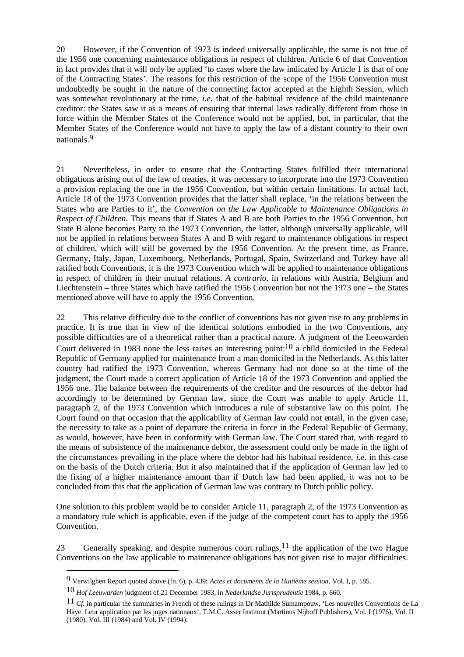20 However, if the Convention of 1973 is indeed universally applicable, the same is not true of the 1956 one concerning maintenance obligations in respect of children. Article 6 of that Convention in fact provides that it will only be applied 'to cases where the law indicated by Article 1 is that of one of the Contracting States'. The reasons for this restriction of the scope of the 1956 Convention must undoubtedly be sought in the nature of the connecting factor accepted at the Eighth Session, which was somewhat revolutionary at the time, *i.e.* that of the habitual residence of the child maintenance creditor: the States saw it as a means of ensuring that internal laws radically different from those in force within the Member States of the Conference would not be applied, but, in particular, that the Member States of the Conference would not have to apply the law of a distant country to their own nationals.9

21 Nevertheless, in order to ensure that the Contracting States fulfilled their international obligations arising out of the law of treaties, it was necessary to incorporate into the 1973 Convention a provision replacing the one in the 1956 Convention, but within certain limitations. In actual fact, Article 18 of the 1973 Convention provides that the latter shall replace, 'in the relations between the States who are Parties to it', the *Convention on the Law Applicable to Maintenance Obligations in Respect of Children*. This means that if States A and B are both Parties to the 1956 Convention, but State B alone becomes Party to the 1973 Convention, the latter, although universally applicable, will not be applied in relations between States A and B with regard to maintenance obligations in respect of children, which will still be governed by the 1956 Convention. At the present time, as France, Germany, Italy, Japan, Luxembourg, Netherlands, Portugal, Spain, Switzerland and Turkey have all ratified both Conventions, it is the 1973 Convention which will be applied to maintenance obligations in respect of children in their mutual relations. *A contrario*, in relations with Austria, Belgium and Liechtenstein – three States which have ratified the 1956 Convention but not the 1973 one – the States mentioned above will have to apply the 1956 Convention.

22 This relative difficulty due to the conflict of conventions has not given rise to any problems in practice. It is true that in view of the identical solutions embodied in the two Conventions, any possible difficulties are of a theoretical rather than a practical nature. A judgment of the Leeuwarden Court delivered in 1983 none the less raises an interesting point:10 a child domiciled in the Federal Republic of Germany applied for maintenance from a man domiciled in the Netherlands. As this latter country had ratified the 1973 Convention, whereas Germany had not done so at the time of the judgment, the Court made a correct application of Article 18 of the 1973 Convention and applied the 1956 one. The balance between the requirements of the creditor and the resources of the debtor had accordingly to be determined by German law, since the Court was unable to apply Article 11, paragraph 2, of the 1973 Convention which introduces a rule of substantive law on this point. The Court found on that occasion that the applicability of German law could not entail, in the given case, the necessity to take as a point of departure the criteria in force in the Federal Republic of Germany, as would, however, have been in conformity with German law. The Court stated that, with regard to the means of subsistence of the maintenance debtor, the assessment could only be made in the light of the circumstances prevailing in the place where the debtor had his habitual residence, *i.e.* in this case on the basis of the Dutch criteria. But it also maintained that if the application of German law led to the fixing of a higher maintenance amount than if Dutch law had been applied, it was not to be concluded from this that the application of German law was contrary to Dutch public policy.

One solution to this problem would be to consider Article 11, paragraph 2, of the 1973 Convention as a mandatory rule which is applicable, even if the judge of the competent court has to apply the 1956 Convention.

23 Generally speaking, and despite numerous court rulings,  $11$  the application of the two Hague Conventions on the law applicable to maintenance obligations has not given rise to major difficulties.

<sup>9</sup> Verwilghen Report quoted above (fn. 6), p. 439; *Actes et documents de la Huitième session*, Vol. I, p. 185.

<sup>10</sup> *Hof Leeuwarden* judgment of 21 December 1983, in *Nederlandse Jurisprudentie* 1984, p. 660.

<sup>11</sup> *Cf.* in particular the summaries in French of these rulings in Dr Mathilde Sumampouw, 'Les nouvelles Conventions de La Haye. Leur application par les juges nationaux', T.M.C. Asser Instituut (Martinus Nijhoff Publishers), Vol. I (1976), Vol. II (1980), Vol. III (1984) and Vol. IV (1994).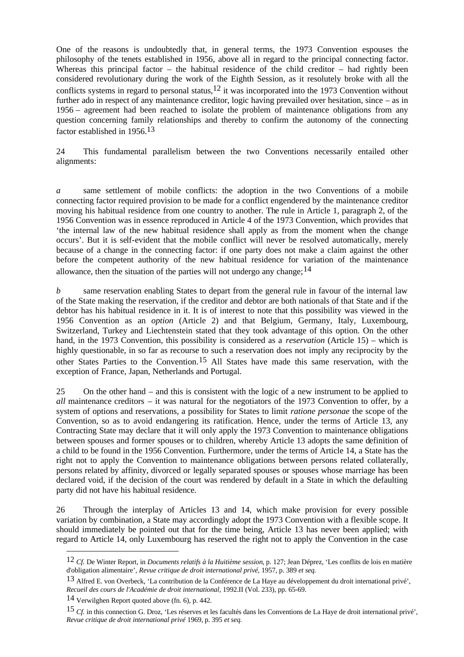One of the reasons is undoubtedly that, in general terms, the 1973 Convention espouses the philosophy of the tenets established in 1956, above all in regard to the principal connecting factor. Whereas this principal factor – the habitual residence of the child creditor – had rightly been considered revolutionary during the work of the Eighth Session, as it resolutely broke with all the conflicts systems in regard to personal status,<sup>12</sup> it was incorporated into the 1973 Convention without further ado in respect of any maintenance creditor, logic having prevailed over hesitation, since – as in 1956 – agreement had been reached to isolate the problem of maintenance obligations from any question concerning family relationships and thereby to confirm the autonomy of the connecting factor established in 1956.13

24 This fundamental parallelism between the two Conventions necessarily entailed other alignments:

*a* same settlement of mobile conflicts: the adoption in the two Conventions of a mobile connecting factor required provision to be made for a conflict engendered by the maintenance creditor moving his habitual residence from one country to another. The rule in Article 1, paragraph 2, of the 1956 Convention was in essence reproduced in Article 4 of the 1973 Convention, which provides that 'the internal law of the new habitual residence shall apply as from the moment when the change occurs'. But it is self-evident that the mobile conflict will never be resolved automatically, merely because of a change in the connecting factor: if one party does not make a claim against the other before the competent authority of the new habitual residence for variation of the maintenance allowance, then the situation of the parties will not undergo any change;  $14$ 

*b* same reservation enabling States to depart from the general rule in favour of the internal law of the State making the reservation, if the creditor and debtor are both nationals of that State and if the debtor has his habitual residence in it. It is of interest to note that this possibility was viewed in the 1956 Convention as an *option* (Article 2) and that Belgium, Germany, Italy, Luxembourg, Switzerland, Turkey and Liechtenstein stated that they took advantage of this option. On the other hand, in the 1973 Convention, this possibility is considered as a *reservation* (Article 15) – which is highly questionable, in so far as recourse to such a reservation does not imply any reciprocity by the other States Parties to the Convention.15 All States have made this same reservation, with the exception of France, Japan, Netherlands and Portugal.

25 On the other hand – and this is consistent with the logic of a new instrument to be applied to *all* maintenance creditors – it was natural for the negotiators of the 1973 Convention to offer, by a system of options and reservations, a possibility for States to limit *ratione personae* the scope of the Convention, so as to avoid endangering its ratification. Hence, under the terms of Article 13, any Contracting State may declare that it will only apply the 1973 Convention to maintenance obligations between spouses and former spouses or to children, whereby Article 13 adopts the same definition of a child to be found in the 1956 Convention. Furthermore, under the terms of Article 14, a State has the right not to apply the Convention to maintenance obligations between persons related collaterally, persons related by affinity, divorced or legally separated spouses or spouses whose marriage has been declared void, if the decision of the court was rendered by default in a State in which the defaulting party did not have his habitual residence.

26 Through the interplay of Articles 13 and 14, which make provision for every possible variation by combination, a State may accordingly adopt the 1973 Convention with a flexible scope. It should immediately be pointed out that for the time being, Article 13 has never been applied; with regard to Article 14, only Luxembourg has reserved the right not to apply the Convention in the case

<sup>12</sup> *Cf.* De Winter Report, in *Documents relatifs à la Huitième session*, p. 127; Jean Déprez, 'Les conflits de lois en matière d'obligation alimentaire', *Revue critique de droit international privé*, 1957, p. 389 *et seq.*

 $13$  Alfred E. von Overbeck, 'La contribution de la Conférence de La Haye au développement du droit international privé', *Recueil des cours de l'Académie de droit international*, 1992.II (Vol. 233), pp. 65-69.

<sup>14</sup> Verwilghen Report quoted above (fn. 6), p. 442.

<sup>15</sup> *Cf.* in this connection G. Droz, 'Les réserves et les facultés dans les Conventions de La Haye de droit international privé', *Revue critique de droit international privé* 1969, p. 395 *et seq.*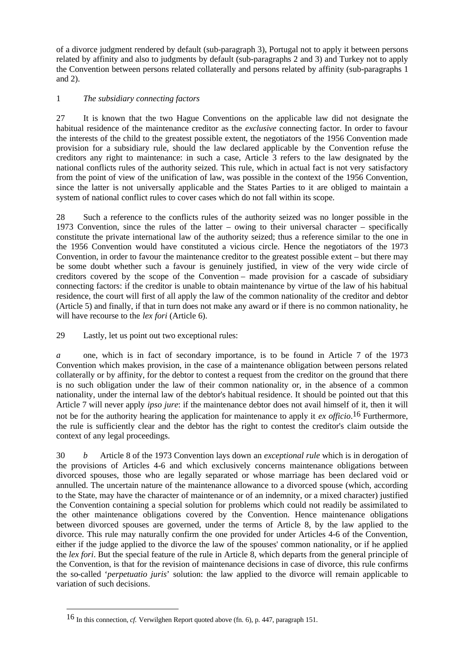of a divorce judgment rendered by default (sub-paragraph 3), Portugal not to apply it between persons related by affinity and also to judgments by default (sub-paragraphs 2 and 3) and Turkey not to apply the Convention between persons related collaterally and persons related by affinity (sub-paragraphs 1 and 2).

# 1 *The subsidiary connecting factors*

27 It is known that the two Hague Conventions on the applicable law did not designate the habitual residence of the maintenance creditor as the *exclusive* connecting factor. In order to favour the interests of the child to the greatest possible extent, the negotiators of the 1956 Convention made provision for a subsidiary rule, should the law declared applicable by the Convention refuse the creditors any right to maintenance: in such a case, Article 3 refers to the law designated by the national conflicts rules of the authority seized. This rule, which in actual fact is not very satisfactory from the point of view of the unification of law, was possible in the context of the 1956 Convention, since the latter is not universally applicable and the States Parties to it are obliged to maintain a system of national conflict rules to cover cases which do not fall within its scope.

28 Such a reference to the conflicts rules of the authority seized was no longer possible in the 1973 Convention, since the rules of the latter – owing to their universal character – specifically constitute the private international law of the authority seized; thus a reference similar to the one in the 1956 Convention would have constituted a vicious circle. Hence the negotiators of the 1973 Convention, in order to favour the maintenance creditor to the greatest possible extent – but there may be some doubt whether such a favour is genuinely justified, in view of the very wide circle of creditors covered by the scope of the Convention – made provision for a cascade of subsidiary connecting factors: if the creditor is unable to obtain maintenance by virtue of the law of his habitual residence, the court will first of all apply the law of the common nationality of the creditor and debtor (Article 5) and finally, if that in turn does not make any award or if there is no common nationality, he will have recourse to the *lex fori* (Article 6).

29 Lastly, let us point out two exceptional rules:

*a* one, which is in fact of secondary importance, is to be found in Article 7 of the 1973 Convention which makes provision, in the case of a maintenance obligation between persons related collaterally or by affinity, for the debtor to contest a request from the creditor on the ground that there is no such obligation under the law of their common nationality or, in the absence of a common nationality, under the internal law of the debtor's habitual residence. It should be pointed out that this Article 7 will never apply *ipso jure*: if the maintenance debtor does not avail himself of it, then it will not be for the authority hearing the application for maintenance to apply it *ex officio*. 16 Furthermore, the rule is sufficiently clear and the debtor has the right to contest the creditor's claim outside the context of any legal proceedings.

30 *b* Article 8 of the 1973 Convention lays down an *exceptional rule* which is in derogation of the provisions of Articles 4-6 and which exclusively concerns maintenance obligations between divorced spouses, those who are legally separated or whose marriage has been declared void or annulled. The uncertain nature of the maintenance allowance to a divorced spouse (which, according to the State, may have the character of maintenance or of an indemnity, or a mixed character) justified the Convention containing a special solution for problems which could not readily be assimilated to the other maintenance obligations covered by the Convention. Hence maintenance obligations between divorced spouses are governed, under the terms of Article 8, by the law applied to the divorce. This rule may naturally confirm the one provided for under Articles 4-6 of the Convention, either if the judge applied to the divorce the law of the spouses' common nationality, or if he applied the *lex fori*. But the special feature of the rule in Article 8, which departs from the general principle of the Convention, is that for the revision of maintenance decisions in case of divorce, this rule confirms the so-called '*perpetuatio juris*' solution: the law applied to the divorce will remain applicable to variation of such decisions.

<sup>16</sup> In this connection, *cf.* Verwilghen Report quoted above (fn. 6), p. 447, paragraph 151.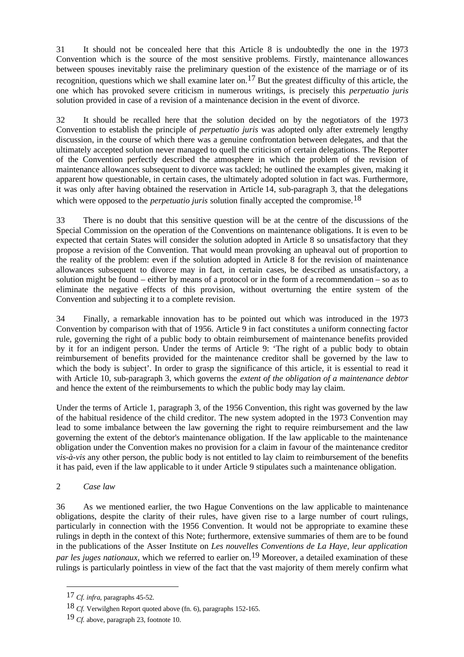31 It should not be concealed here that this Article 8 is undoubtedly the one in the 1973 Convention which is the source of the most sensitive problems. Firstly, maintenance allowances between spouses inevitably raise the preliminary question of the existence of the marriage or of its recognition, questions which we shall examine later on.<sup>17</sup> But the greatest difficulty of this article, the one which has provoked severe criticism in numerous writings, is precisely this *perpetuatio juris* solution provided in case of a revision of a maintenance decision in the event of divorce.

32 It should be recalled here that the solution decided on by the negotiators of the 1973 Convention to establish the principle of *perpetuatio juris* was adopted only after extremely lengthy discussion, in the course of which there was a genuine confrontation between delegates, and that the ultimately accepted solution never managed to quell the criticism of certain delegations. The Reporter of the Convention perfectly described the atmosphere in which the problem of the revision of maintenance allowances subsequent to divorce was tackled; he outlined the examples given, making it apparent how questionable, in certain cases, the ultimately adopted solution in fact was. Furthermore, it was only after having obtained the reservation in Article 14, sub-paragraph 3, that the delegations which were opposed to the *perpetuatio juris* solution finally accepted the compromise.<sup>18</sup>

33 There is no doubt that this sensitive question will be at the centre of the discussions of the Special Commission on the operation of the Conventions on maintenance obligations. It is even to be expected that certain States will consider the solution adopted in Article 8 so unsatisfactory that they propose a revision of the Convention. That would mean provoking an upheaval out of proportion to the reality of the problem: even if the solution adopted in Article 8 for the revision of maintenance allowances subsequent to divorce may in fact, in certain cases, be described as unsatisfactory, a solution might be found – either by means of a protocol or in the form of a recommendation – so as to eliminate the negative effects of this provision, without overturning the entire system of the Convention and subjecting it to a complete revision.

34 Finally, a remarkable innovation has to be pointed out which was introduced in the 1973 Convention by comparison with that of 1956. Article 9 in fact constitutes a uniform connecting factor rule, governing the right of a public body to obtain reimbursement of maintenance benefits provided by it for an indigent person. Under the terms of Article 9: 'The right of a public body to obtain reimbursement of benefits provided for the maintenance creditor shall be governed by the law to which the body is subject'. In order to grasp the significance of this article, it is essential to read it with Article 10, sub-paragraph 3, which governs the *extent of the obligation of a maintenance debtor* and hence the extent of the reimbursements to which the public body may lay claim.

Under the terms of Article 1, paragraph 3, of the 1956 Convention, this right was governed by the law of the habitual residence of the child creditor. The new system adopted in the 1973 Convention may lead to some imbalance between the law governing the right to require reimbursement and the law governing the extent of the debtor's maintenance obligation. If the law applicable to the maintenance obligation under the Convention makes no provision for a claim in favour of the maintenance creditor *vis-à-vis* any other person, the public body is not entitled to lay claim to reimbursement of the benefits it has paid, even if the law applicable to it under Article 9 stipulates such a maintenance obligation.

# 2 *Case law*

 $\overline{a}$ 

36 As we mentioned earlier, the two Hague Conventions on the law applicable to maintenance obligations, despite the clarity of their rules, have given rise to a large number of court rulings, particularly in connection with the 1956 Convention. It would not be appropriate to examine these rulings in depth in the context of this Note; furthermore, extensive summaries of them are to be found in the publications of the Asser Institute on *Les nouvelles Conventions de La Haye, leur application par les juges nationaux*, which we referred to earlier on.<sup>19</sup> Moreover, a detailed examination of these rulings is particularly pointless in view of the fact that the vast majority of them merely confirm what

<sup>17</sup> *Cf. infra*, paragraphs 45-52.

<sup>18</sup> *Cf.* Verwilghen Report quoted above (fn. 6), paragraphs 152-165.

<sup>19</sup> *Cf.* above, paragraph 23, footnote 10.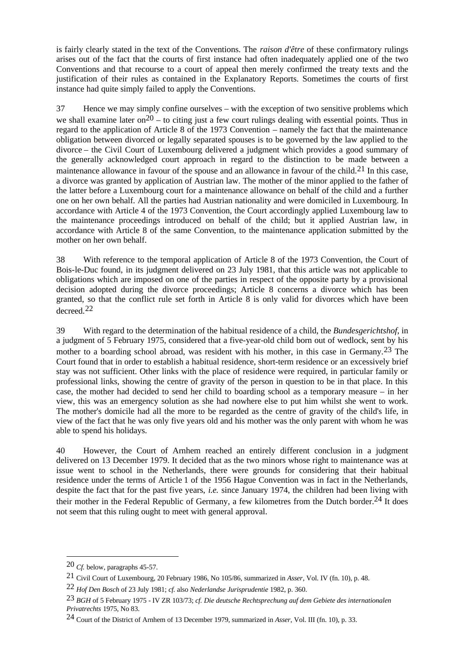is fairly clearly stated in the text of the Conventions. The *raison d'être* of these confirmatory rulings arises out of the fact that the courts of first instance had often inadequately applied one of the two Conventions and that recourse to a court of appeal then merely confirmed the treaty texts and the justification of their rules as contained in the Explanatory Reports. Sometimes the courts of first instance had quite simply failed to apply the Conventions.

37 Hence we may simply confine ourselves – with the exception of two sensitive problems which we shall examine later on<sup>20</sup> – to citing just a few court rulings dealing with essential points. Thus in regard to the application of Article 8 of the 1973 Convention – namely the fact that the maintenance obligation between divorced or legally separated spouses is to be governed by the law applied to the divorce – the Civil Court of Luxembourg delivered a judgment which provides a good summary of the generally acknowledged court approach in regard to the distinction to be made between a maintenance allowance in favour of the spouse and an allowance in favour of the child.<sup>21</sup> In this case, a divorce was granted by application of Austrian law. The mother of the minor applied to the father of the latter before a Luxembourg court for a maintenance allowance on behalf of the child and a further one on her own behalf. All the parties had Austrian nationality and were domiciled in Luxembourg. In accordance with Article 4 of the 1973 Convention, the Court accordingly applied Luxembourg law to the maintenance proceedings introduced on behalf of the child; but it applied Austrian law, in accordance with Article 8 of the same Convention, to the maintenance application submitted by the mother on her own behalf.

38 With reference to the temporal application of Article 8 of the 1973 Convention, the Court of Bois-le-Duc found, in its judgment delivered on 23 July 1981, that this article was not applicable to obligations which are imposed on one of the parties in respect of the opposite party by a provisional decision adopted during the divorce proceedings; Article 8 concerns a divorce which has been granted, so that the conflict rule set forth in Article 8 is only valid for divorces which have been decreed.22

39 With regard to the determination of the habitual residence of a child, the *Bundesgerichtshof*, in a judgment of 5 February 1975, considered that a five-year-old child born out of wedlock, sent by his mother to a boarding school abroad, was resident with his mother, in this case in Germany.23 The Court found that in order to establish a habitual residence, short-term residence or an excessively brief stay was not sufficient. Other links with the place of residence were required, in particular family or professional links, showing the centre of gravity of the person in question to be in that place. In this case, the mother had decided to send her child to boarding school as a temporary measure – in her view, this was an emergency solution as she had nowhere else to put him whilst she went to work. The mother's domicile had all the more to be regarded as the centre of gravity of the child's life, in view of the fact that he was only five years old and his mother was the only parent with whom he was able to spend his holidays.

40 However, the Court of Arnhem reached an entirely different conclusion in a judgment delivered on 13 December 1979. It decided that as the two minors whose right to maintenance was at issue went to school in the Netherlands, there were grounds for considering that their habitual residence under the terms of Article 1 of the 1956 Hague Convention was in fact in the Netherlands, despite the fact that for the past five years, *i.e.* since January 1974, the children had been living with their mother in the Federal Republic of Germany, a few kilometres from the Dutch border.24 It does not seem that this ruling ought to meet with general approval.

<sup>20</sup> *Cf.* below, paragraphs 45-57.

<sup>21</sup> Civil Court of Luxembourg, 20 February 1986, No 105/86, summarized in *Asser*, Vol. IV (fn. 10), p. 48.

<sup>22</sup> *Hof Den Bosch* of 23 July 1981; *cf.* also *Nederlandse Jurisprudentie* 1982, p. 360.

<sup>23</sup> *BGH* of 5 February 1975 - IV ZR 103/73; *cf. Die deutsche Rechtsprechung auf dem Gebiete des internationalen Privatrechts* 1975, No 83.

<sup>24</sup> Court of the District of Arnhem of 13 December 1979, summarized in *Asser*, Vol. III (fn. 10), p. 33.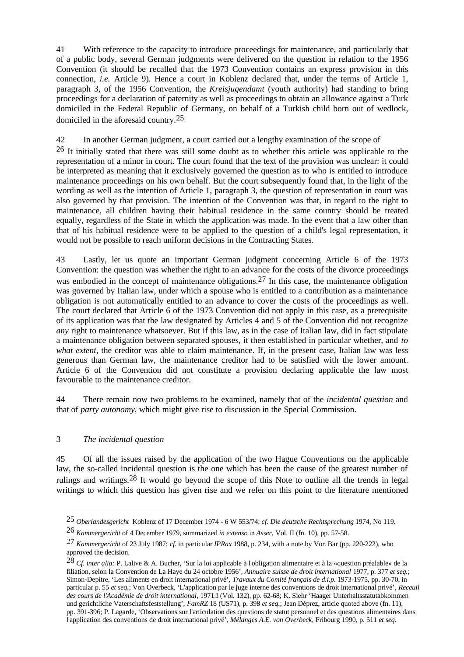41 With reference to the capacity to introduce proceedings for maintenance, and particularly that of a public body, several German judgments were delivered on the question in relation to the 1956 Convention (it should be recalled that the 1973 Convention contains an express provision in this connection, *i.e.* Article 9). Hence a court in Koblenz declared that, under the terms of Article 1, paragraph 3, of the 1956 Convention, the *Kreisjugendamt* (youth authority) had standing to bring proceedings for a declaration of paternity as well as proceedings to obtain an allowance against a Turk domiciled in the Federal Republic of Germany, on behalf of a Turkish child born out of wedlock, domiciled in the aforesaid country.25

# 42 In another German judgment, a court carried out a lengthy examination of the scope of

26 It initially stated that there was still some doubt as to whether this article was applicable to the representation of a minor in court. The court found that the text of the provision was unclear: it could be interpreted as meaning that it exclusively governed the question as to who is entitled to introduce maintenance proceedings on his own behalf. But the court subsequently found that, in the light of the wording as well as the intention of Article 1, paragraph 3, the question of representation in court was also governed by that provision. The intention of the Convention was that, in regard to the right to maintenance, all children having their habitual residence in the same country should be treated equally, regardless of the State in which the application was made. In the event that a law other than that of his habitual residence were to be applied to the question of a child's legal representation, it would not be possible to reach uniform decisions in the Contracting States.

43 Lastly, let us quote an important German judgment concerning Article 6 of the 1973 Convention: the question was whether the right to an advance for the costs of the divorce proceedings was embodied in the concept of maintenance obligations.<sup>27</sup> In this case, the maintenance obligation was governed by Italian law, under which a spouse who is entitled to a contribution as a maintenance obligation is not automatically entitled to an advance to cover the costs of the proceedings as well. The court declared that Article 6 of the 1973 Convention did not apply in this case, as a prerequisite of its application was that the law designated by Articles 4 and 5 of the Convention did not recognize *any* right to maintenance whatsoever. But if this law, as in the case of Italian law, did in fact stipulate a maintenance obligation between separated spouses, it then established in particular whether, and *to what extent*, the creditor was able to claim maintenance. If, in the present case, Italian law was less generous than German law, the maintenance creditor had to be satisfied with the lower amount. Article 6 of the Convention did not constitute a provision declaring applicable the law most favourable to the maintenance creditor.

44 There remain now two problems to be examined, namely that of the *incidental question* and that of *party autonomy*, which might give rise to discussion in the Special Commission.

### 3 *The incidental question*

 $\overline{a}$ 

45 Of all the issues raised by the application of the two Hague Conventions on the applicable law, the so-called incidental question is the one which has been the cause of the greatest number of rulings and writings.28 It would go beyond the scope of this Note to outline all the trends in legal writings to which this question has given rise and we refer on this point to the literature mentioned

<sup>25</sup> *Oberlandesgericht* Koblenz of 17 December 1974 - 6 W 553/74; *cf. Die deutsche Rechtsprechung* 1974, No 119.

<sup>26</sup> *Kammergericht* of 4 December 1979, summarized *in extenso* in *Asser*, Vol. II (fn. 10), pp. 57-58.

<sup>27</sup> *Kammergericht* of 23 July 1987; *cf.* in particular *IPRax* 1988, p. 234, with a note by Von Bar (pp. 220-222), who approved the decision.

<sup>28</sup> *Cf. inter alia:* P. Lalive & A. Bucher, 'Sur la loi applicable à l'obligation alimentaire et à la «question préalable» de la filiation, selon la Convention de La Haye du 24 octobre 1956', *Annuaire suisse de droit international* 1977, p. 377 *et seq.*; Simon-Depitre, 'Les aliments en droit international privé', *Travaux du Comité français de d.i.p.* 1973-1975, pp. 30-70, in particular p. 55 *et seq.*; Von Overbeck, 'L'application par le juge interne des conventions de droit international privé', *Receuil des cours de l'Académie de droit international*, 1971.I (Vol. 132), pp. 62-68; K. Siehr 'Haager Unterhaltsstatutabkommen und gerichtliche Vaterschaftsfeststellung', *FamRZ* 18 (US71), p. 398 *et seq.*; Jean Déprez, article quoted above (fn. 11), pp. 391-396; P. Lagarde, 'Observations sur l'articulation des questions de statut personnel et des questions alimentaires dans l'application des conventions de droit international privé', *Mélanges A.E. von Overbeck*, Fribourg 1990, p. 511 *et seq.*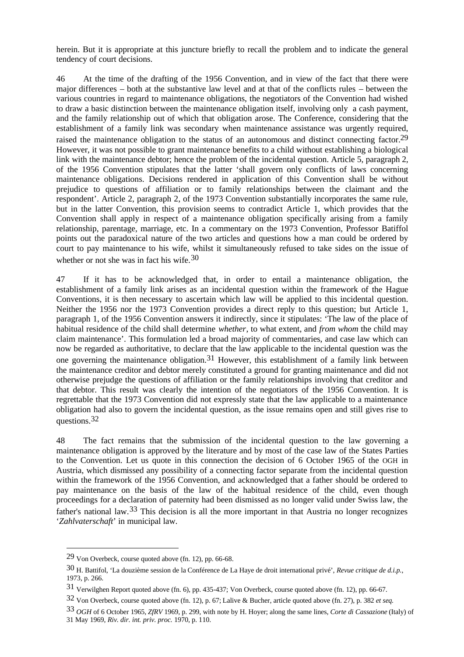herein. But it is appropriate at this juncture briefly to recall the problem and to indicate the general tendency of court decisions.

46 At the time of the drafting of the 1956 Convention, and in view of the fact that there were major differences – both at the substantive law level and at that of the conflicts rules – between the various countries in regard to maintenance obligations, the negotiators of the Convention had wished to draw a basic distinction between the maintenance obligation itself, involving only a cash payment, and the family relationship out of which that obligation arose. The Conference, considering that the establishment of a family link was secondary when maintenance assistance was urgently required, raised the maintenance obligation to the status of an autonomous and distinct connecting factor.<sup>29</sup> However, it was not possible to grant maintenance benefits to a child without establishing a biological link with the maintenance debtor; hence the problem of the incidental question. Article 5, paragraph 2, of the 1956 Convention stipulates that the latter 'shall govern only conflicts of laws concerning maintenance obligations. Decisions rendered in application of this Convention shall be without prejudice to questions of affiliation or to family relationships between the claimant and the respondent'. Article 2, paragraph 2, of the 1973 Convention substantially incorporates the same rule, but in the latter Convention, this provision seems to contradict Article 1, which provides that the Convention shall apply in respect of a maintenance obligation specifically arising from a family relationship, parentage, marriage, etc. In a commentary on the 1973 Convention, Professor Batiffol points out the paradoxical nature of the two articles and questions how a man could be ordered by court to pay maintenance to his wife, whilst it simultaneously refused to take sides on the issue of whether or not she was in fact his wife.<sup>30</sup>

47 If it has to be acknowledged that, in order to entail a maintenance obligation, the establishment of a family link arises as an incidental question within the framework of the Hague Conventions, it is then necessary to ascertain which law will be applied to this incidental question. Neither the 1956 nor the 1973 Convention provides a direct reply to this question; but Article 1, paragraph 1, of the 1956 Convention answers it indirectly, since it stipulates: 'The law of the place of habitual residence of the child shall determine *whether*, to what extent, and *from whom* the child may claim maintenance'. This formulation led a broad majority of commentaries, and case law which can now be regarded as authoritative, to declare that the law applicable to the incidental question was the one governing the maintenance obligation.<sup>31</sup> However, this establishment of a family link between the maintenance creditor and debtor merely constituted a ground for granting maintenance and did not otherwise prejudge the questions of affiliation or the family relationships involving that creditor and that debtor. This result was clearly the intention of the negotiators of the 1956 Convention. It is regrettable that the 1973 Convention did not expressly state that the law applicable to a maintenance obligation had also to govern the incidental question, as the issue remains open and still gives rise to questions.<sup>32</sup>

48 The fact remains that the submission of the incidental question to the law governing a maintenance obligation is approved by the literature and by most of the case law of the States Parties to the Convention. Let us quote in this connection the decision of 6 October 1965 of the OGH in Austria, which dismissed any possibility of a connecting factor separate from the incidental question within the framework of the 1956 Convention, and acknowledged that a father should be ordered to pay maintenance on the basis of the law of the habitual residence of the child, even though proceedings for a declaration of paternity had been dismissed as no longer valid under Swiss law, the father's national law.33 This decision is all the more important in that Austria no longer recognizes '*Zahlvaterschaft*' in municipal law.

<sup>29</sup> Von Overbeck, course quoted above (fn. 12), pp. 66-68.

<sup>30</sup> H. Battifol, 'La douzième session de la Conférence de La Haye de droit international privé', *Revue critique de d.i.p.*, 1973, p. 266.

<sup>31</sup> Verwilghen Report quoted above (fn. 6), pp. 435-437; Von Overbeck, course quoted above (fn. 12), pp. 66-67.

<sup>32</sup> Von Overbeck, course quoted above (fn. 12), p. 67; Lalive & Bucher, article quoted above (fn. 27), p. 382 *et seq.*

<sup>33</sup> *OGH* of 6 October 1965, *ZfRV* 1969, p. 299, with note by H. Hoyer; along the same lines, *Corte di Cassazione* (Italy) of 31 May 1969, *Riv. dir. int. priv. proc.* 1970, p. 110.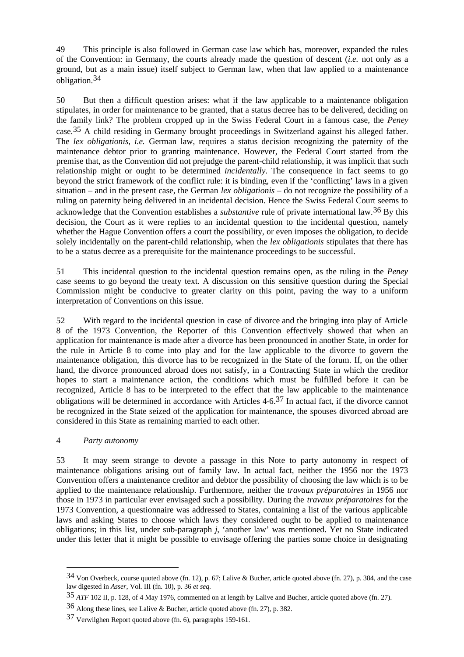49 This principle is also followed in German case law which has, moreover, expanded the rules of the Convention: in Germany, the courts already made the question of descent (*i.e.* not only as a ground, but as a main issue) itself subject to German law, when that law applied to a maintenance obligation.34

50 But then a difficult question arises: what if the law applicable to a maintenance obligation stipulates, in order for maintenance to be granted, that a status decree has to be delivered, deciding on the family link? The problem cropped up in the Swiss Federal Court in a famous case, the *Peney* case.35 A child residing in Germany brought proceedings in Switzerland against his alleged father. The *lex obligationis*, *i.e.* German law, requires a status decision recognizing the paternity of the maintenance debtor prior to granting maintenance. However, the Federal Court started from the premise that, as the Convention did not prejudge the parent-child relationship, it was implicit that such relationship might or ought to be determined *incidentally*. The consequence in fact seems to go beyond the strict framework of the conflict rule: it is binding, even if the 'conflicting' laws in a given situation – and in the present case, the German *lex obligationis* – do not recognize the possibility of a ruling on paternity being delivered in an incidental decision. Hence the Swiss Federal Court seems to acknowledge that the Convention establishes a *substantive* rule of private international law.36 By this decision, the Court as it were replies to an incidental question to the incidental question, namely whether the Hague Convention offers a court the possibility, or even imposes the obligation, to decide solely incidentally on the parent-child relationship, when the *lex obligationis* stipulates that there has to be a status decree as a prerequisite for the maintenance proceedings to be successful.

51 This incidental question to the incidental question remains open, as the ruling in the *Peney* case seems to go beyond the treaty text. A discussion on this sensitive question during the Special Commission might be conducive to greater clarity on this point, paving the way to a uniform interpretation of Conventions on this issue.

52 With regard to the incidental question in case of divorce and the bringing into play of Article 8 of the 1973 Convention, the Reporter of this Convention effectively showed that when an application for maintenance is made after a divorce has been pronounced in another State, in order for the rule in Article 8 to come into play and for the law applicable to the divorce to govern the maintenance obligation, this divorce has to be recognized in the State of the forum. If, on the other hand, the divorce pronounced abroad does not satisfy, in a Contracting State in which the creditor hopes to start a maintenance action, the conditions which must be fulfilled before it can be recognized, Article 8 has to be interpreted to the effect that the law applicable to the maintenance obligations will be determined in accordance with Articles  $4-6.37$  In actual fact, if the divorce cannot be recognized in the State seized of the application for maintenance, the spouses divorced abroad are considered in this State as remaining married to each other.

### 4 *Party autonomy*

 $\overline{a}$ 

53 It may seem strange to devote a passage in this Note to party autonomy in respect of maintenance obligations arising out of family law. In actual fact, neither the 1956 nor the 1973 Convention offers a maintenance creditor and debtor the possibility of choosing the law which is to be applied to the maintenance relationship. Furthermore, neither the *travaux préparatoires* in 1956 nor those in 1973 in particular ever envisaged such a possibility. During the *travaux préparatoires* for the 1973 Convention, a questionnaire was addressed to States, containing a list of the various applicable laws and asking States to choose which laws they considered ought to be applied to maintenance obligations; in this list, under sub-paragraph *j*, 'another law' was mentioned. Yet no State indicated under this letter that it might be possible to envisage offering the parties some choice in designating

<sup>34</sup> Von Overbeck, course quoted above (fn. 12), p. 67; Lalive & Bucher, article quoted above (fn. 27), p. 384, and the case law digested in *Asser*, Vol. III (fn. 10), p. 36 *et seq.*

<sup>35</sup> *ATF* 102 II, p. 128, of 4 May 1976, commented on at length by Lalive and Bucher, article quoted above (fn. 27).

<sup>36</sup> Along these lines, see Lalive & Bucher, article quoted above (fn. 27), p. 382.

<sup>37</sup> Verwilghen Report quoted above (fn. 6), paragraphs 159-161.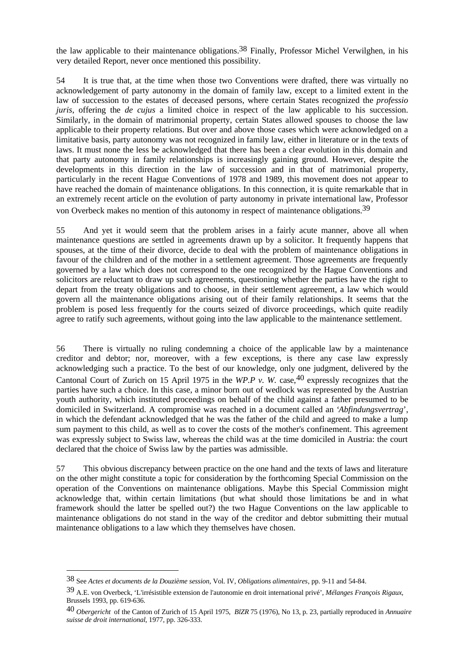the law applicable to their maintenance obligations.38 Finally, Professor Michel Verwilghen, in his very detailed Report, never once mentioned this possibility.

54 It is true that, at the time when those two Conventions were drafted, there was virtually no acknowledgement of party autonomy in the domain of family law, except to a limited extent in the law of succession to the estates of deceased persons, where certain States recognized the *professio juris*, offering the *de cujus* a limited choice in respect of the law applicable to his succession. Similarly, in the domain of matrimonial property, certain States allowed spouses to choose the law applicable to their property relations. But over and above those cases which were acknowledged on a limitative basis, party autonomy was not recognized in family law, either in literature or in the texts of laws. It must none the less be acknowledged that there has been a clear evolution in this domain and that party autonomy in family relationships is increasingly gaining ground. However, despite the developments in this direction in the law of succession and in that of matrimonial property, particularly in the recent Hague Conventions of 1978 and 1989, this movement does not appear to have reached the domain of maintenance obligations. In this connection, it is quite remarkable that in an extremely recent article on the evolution of party autonomy in private international law, Professor von Overbeck makes no mention of this autonomy in respect of maintenance obligations.39

55 And yet it would seem that the problem arises in a fairly acute manner, above all when maintenance questions are settled in agreements drawn up by a solicitor. It frequently happens that spouses, at the time of their divorce, decide to deal with the problem of maintenance obligations in favour of the children and of the mother in a settlement agreement. Those agreements are frequently governed by a law which does not correspond to the one recognized by the Hague Conventions and solicitors are reluctant to draw up such agreements, questioning whether the parties have the right to depart from the treaty obligations and to choose, in their settlement agreement, a law which would govern all the maintenance obligations arising out of their family relationships. It seems that the problem is posed less frequently for the courts seized of divorce proceedings, which quite readily agree to ratify such agreements, without going into the law applicable to the maintenance settlement.

56 There is virtually no ruling condemning a choice of the applicable law by a maintenance creditor and debtor; nor, moreover, with a few exceptions, is there any case law expressly acknowledging such a practice. To the best of our knowledge, only one judgment, delivered by the Cantonal Court of Zurich on 15 April 1975 in the *WP.P v. W.* case,  $40$  expressly recognizes that the parties have such a choice. In this case, a minor born out of wedlock was represented by the Austrian youth authority, which instituted proceedings on behalf of the child against a father presumed to be domiciled in Switzerland. A compromise was reached in a document called an '*Abfindungsvertrag*', in which the defendant acknowledged that he was the father of the child and agreed to make a lump sum payment to this child, as well as to cover the costs of the mother's confinement. This agreement was expressly subject to Swiss law, whereas the child was at the time domiciled in Austria: the court declared that the choice of Swiss law by the parties was admissible.

57 This obvious discrepancy between practice on the one hand and the texts of laws and literature on the other might constitute a topic for consideration by the forthcoming Special Commission on the operation of the Conventions on maintenance obligations. Maybe this Special Commission might acknowledge that, within certain limitations (but what should those limitations be and in what framework should the latter be spelled out?) the two Hague Conventions on the law applicable to maintenance obligations do not stand in the way of the creditor and debtor submitting their mutual maintenance obligations to a law which they themselves have chosen.

<sup>38</sup> See *Actes et documents de la Douzième session,* Vol. IV, *Obligations alimentaires*, pp. 9-11 and 54-84.

<sup>39</sup> A.E. von Overbeck, 'L'irrésistible extension de l'autonomie en droit international privé', *Mélanges François Rigaux*, Brussels 1993, pp. 619-636.

<sup>40</sup> *Obergericht* of the Canton of Zurich of 15 April 1975, *BlZR* 75 (1976), No 13, p. 23, partially reproduced in *Annuaire suisse de droit international*, 1977, pp. 326-333.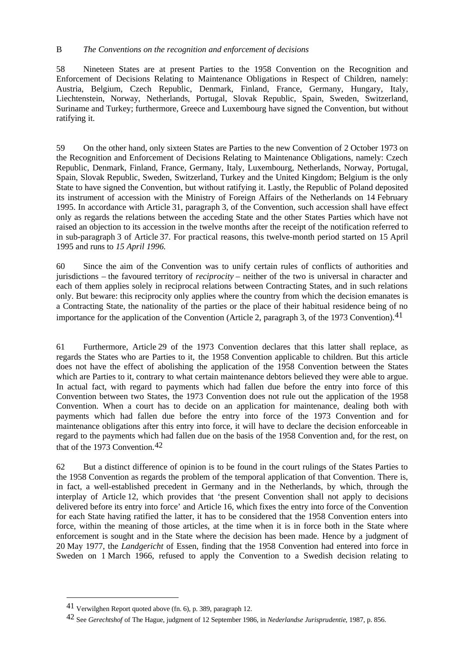### B *The Conventions on the recognition and enforcement of decisions*

58 Nineteen States are at present Parties to the 1958 Convention on the Recognition and Enforcement of Decisions Relating to Maintenance Obligations in Respect of Children, namely: Austria, Belgium, Czech Republic, Denmark, Finland, France, Germany, Hungary, Italy, Liechtenstein, Norway, Netherlands, Portugal, Slovak Republic, Spain, Sweden, Switzerland, Suriname and Turkey; furthermore, Greece and Luxembourg have signed the Convention, but without ratifying it.

59 On the other hand, only sixteen States are Parties to the new Convention of 2 October 1973 on the Recognition and Enforcement of Decisions Relating to Maintenance Obligations, namely: Czech Republic, Denmark, Finland, France, Germany, Italy, Luxembourg, Netherlands, Norway, Portugal, Spain, Slovak Republic, Sweden, Switzerland, Turkey and the United Kingdom; Belgium is the only State to have signed the Convention, but without ratifying it. Lastly, the Republic of Poland deposited its instrument of accession with the Ministry of Foreign Affairs of the Netherlands on 14 February 1995. In accordance with Article 31, paragraph 3, of the Convention, such accession shall have effect only as regards the relations between the acceding State and the other States Parties which have not raised an objection to its accession in the twelve months after the receipt of the notification referred to in sub-paragraph 3 of Article 37. For practical reasons, this twelve-month period started on 15 April 1995 and runs to *15 April 1996*.

60 Since the aim of the Convention was to unify certain rules of conflicts of authorities and jurisdictions – the favoured territory of *reciprocity* – neither of the two is universal in character and each of them applies solely in reciprocal relations between Contracting States, and in such relations only. But beware: this reciprocity only applies where the country from which the decision emanates is a Contracting State, the nationality of the parties or the place of their habitual residence being of no importance for the application of the Convention (Article 2, paragraph 3, of the 1973 Convention).<sup>41</sup>

61 Furthermore, Article 29 of the 1973 Convention declares that this latter shall replace, as regards the States who are Parties to it, the 1958 Convention applicable to children. But this article does not have the effect of abolishing the application of the 1958 Convention between the States which are Parties to it, contrary to what certain maintenance debtors believed they were able to argue. In actual fact, with regard to payments which had fallen due before the entry into force of this Convention between two States, the 1973 Convention does not rule out the application of the 1958 Convention. When a court has to decide on an application for maintenance, dealing both with payments which had fallen due before the entry into force of the 1973 Convention and for maintenance obligations after this entry into force, it will have to declare the decision enforceable in regard to the payments which had fallen due on the basis of the 1958 Convention and, for the rest, on that of the 1973 Convention.42

62 But a distinct difference of opinion is to be found in the court rulings of the States Parties to the 1958 Convention as regards the problem of the temporal application of that Convention. There is, in fact, a well-established precedent in Germany and in the Netherlands, by which, through the interplay of Article 12, which provides that 'the present Convention shall not apply to decisions delivered before its entry into force' and Article 16, which fixes the entry into force of the Convention for each State having ratified the latter, it has to be considered that the 1958 Convention enters into force, within the meaning of those articles, at the time when it is in force both in the State where enforcement is sought and in the State where the decision has been made. Hence by a judgment of 20 May 1977, the *Landgericht* of Essen, finding that the 1958 Convention had entered into force in Sweden on 1 March 1966, refused to apply the Convention to a Swedish decision relating to

<sup>41</sup> Verwilghen Report quoted above (fn. 6), p. 389, paragraph 12.

<sup>42</sup> See *Gerechtshof* of The Hague, judgment of 12 September 1986, in *Nederlandse Jurisprudentie*, 1987, p. 856.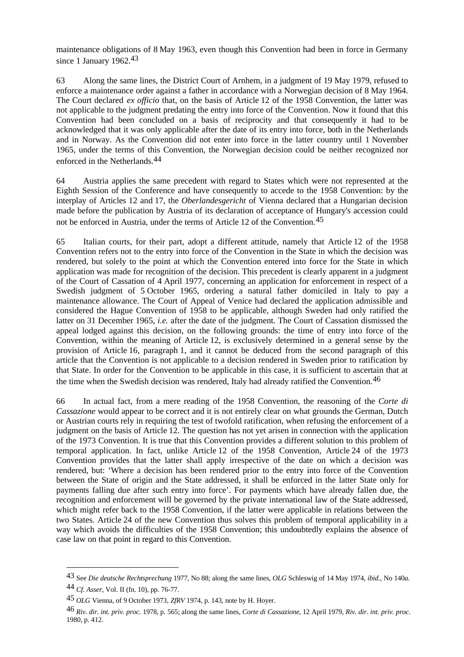maintenance obligations of 8 May 1963, even though this Convention had been in force in Germany since 1 January 1962.<sup>43</sup>

63 Along the same lines, the District Court of Arnhem, in a judgment of 19 May 1979, refused to enforce a maintenance order against a father in accordance with a Norwegian decision of 8 May 1964. The Court declared *ex officio* that, on the basis of Article 12 of the 1958 Convention, the latter was not applicable to the judgment predating the entry into force of the Convention. Now it found that this Convention had been concluded on a basis of reciprocity and that consequently it had to be acknowledged that it was only applicable after the date of its entry into force, both in the Netherlands and in Norway. As the Convention did not enter into force in the latter country until 1 November 1965, under the terms of this Convention, the Norwegian decision could be neither recognized nor enforced in the Netherlands.44

64 Austria applies the same precedent with regard to States which were not represented at the Eighth Session of the Conference and have consequently to accede to the 1958 Convention: by the interplay of Articles 12 and 17, the *Oberlandesgericht* of Vienna declared that a Hungarian decision made before the publication by Austria of its declaration of acceptance of Hungary's accession could not be enforced in Austria, under the terms of Article 12 of the Convention.45

65 Italian courts, for their part, adopt a different attitude, namely that Article 12 of the 1958 Convention refers not to the entry into force of the Convention in the State in which the decision was rendered, but solely to the point at which the Convention entered into force for the State in which application was made for recognition of the decision. This precedent is clearly apparent in a judgment of the Court of Cassation of 4 April 1977, concerning an application for enforcement in respect of a Swedish judgment of 5 October 1965, ordering a natural father domiciled in Italy to pay a maintenance allowance. The Court of Appeal of Venice had declared the application admissible and considered the Hague Convention of 1958 to be applicable, although Sweden had only ratified the latter on 31 December 1965, *i.e.* after the date of the judgment. The Court of Cassation dismissed the appeal lodged against this decision, on the following grounds: the time of entry into force of the Convention, within the meaning of Article 12, is exclusively determined in a general sense by the provision of Article 16, paragraph 1, and it cannot be deduced from the second paragraph of this article that the Convention is not applicable to a decision rendered in Sweden prior to ratification by that State. In order for the Convention to be applicable in this case, it is sufficient to ascertain that at the time when the Swedish decision was rendered, Italy had already ratified the Convention.<sup>46</sup>

66 In actual fact, from a mere reading of the 1958 Convention, the reasoning of the *Corte di Cassazione* would appear to be correct and it is not entirely clear on what grounds the German, Dutch or Austrian courts rely in requiring the test of twofold ratification, when refusing the enforcement of a judgment on the basis of Article 12. The question has not yet arisen in connection with the application of the 1973 Convention. It is true that this Convention provides a different solution to this problem of temporal application. In fact, unlike Article 12 of the 1958 Convention, Article 24 of the 1973 Convention provides that the latter shall apply irrespective of the date on which a decision was rendered, but: 'Where a decision has been rendered prior to the entry into force of the Convention between the State of origin and the State addressed, it shall be enforced in the latter State only for payments falling due after such entry into force'. For payments which have already fallen due, the recognition and enforcement will be governed by the private international law of the State addressed, which might refer back to the 1958 Convention, if the latter were applicable in relations between the two States. Article 24 of the new Convention thus solves this problem of temporal applicability in a way which avoids the difficulties of the 1958 Convention; this undoubtedly explains the absence of case law on that point in regard to this Convention.

<sup>43</sup> See *Die deutsche Rechtsprechung* 1977, No 88; along the same lines, *OLG* Schleswig of 14 May 1974, *ibid.*, No 140*a*.

<sup>44</sup> *Cf. Asser*, Vol. II (fn. 10), pp. 76-77.

<sup>45</sup> *OLG* Vienna, of 9 October 1973, *ZfRV* 1974, p. 143, note by H. Hoyer.

<sup>46</sup> *Riv. dir. int. priv. proc.* 1978, p. 565; along the same lines, *Corte di Cassazione*, 12 April 1979, *Riv. dir. int. priv. proc.* 1980, p. 412.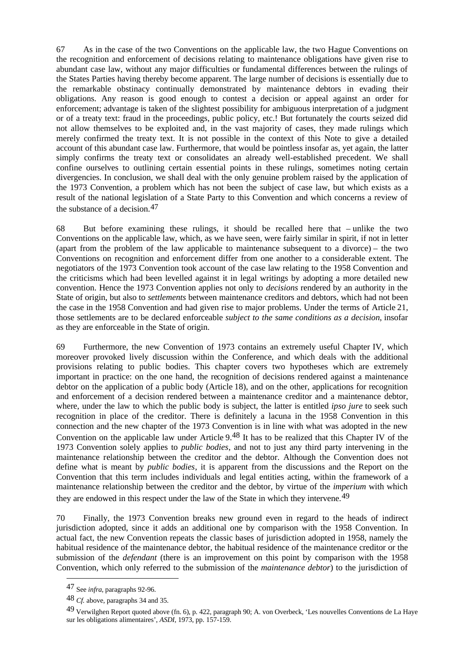67 As in the case of the two Conventions on the applicable law, the two Hague Conventions on the recognition and enforcement of decisions relating to maintenance obligations have given rise to abundant case law, without any major difficulties or fundamental differences between the rulings of the States Parties having thereby become apparent. The large number of decisions is essentially due to the remarkable obstinacy continually demonstrated by maintenance debtors in evading their obligations. Any reason is good enough to contest a decision or appeal against an order for enforcement; advantage is taken of the slightest possibility for ambiguous interpretation of a judgment or of a treaty text: fraud in the proceedings, public policy, etc.! But fortunately the courts seized did not allow themselves to be exploited and, in the vast majority of cases, they made rulings which merely confirmed the treaty text. It is not possible in the context of this Note to give a detailed account of this abundant case law. Furthermore, that would be pointless insofar as, yet again, the latter simply confirms the treaty text or consolidates an already well-established precedent. We shall confine ourselves to outlining certain essential points in these rulings, sometimes noting certain divergencies. In conclusion, we shall deal with the only genuine problem raised by the application of the 1973 Convention, a problem which has not been the subject of case law, but which exists as a result of the national legislation of a State Party to this Convention and which concerns a review of the substance of a decision.47

68 But before examining these rulings, it should be recalled here that – unlike the two Conventions on the applicable law, which, as we have seen, were fairly similar in spirit, if not in letter (apart from the problem of the law applicable to maintenance subsequent to a divorce) – the two Conventions on recognition and enforcement differ from one another to a considerable extent. The negotiators of the 1973 Convention took account of the case law relating to the 1958 Convention and the criticisms which had been levelled against it in legal writings by adopting a more detailed new convention. Hence the 1973 Convention applies not only to *decisions* rendered by an authority in the State of origin, but also to *settlements* between maintenance creditors and debtors, which had not been the case in the 1958 Convention and had given rise to major problems. Under the terms of Article 21, those settlements are to be declared enforceable *subject to the same conditions as a decision*, insofar as they are enforceable in the State of origin.

69 Furthermore, the new Convention of 1973 contains an extremely useful Chapter IV, which moreover provoked lively discussion within the Conference, and which deals with the additional provisions relating to public bodies. This chapter covers two hypotheses which are extremely important in practice: on the one hand, the recognition of decisions rendered against a maintenance debtor on the application of a public body (Article 18), and on the other, applications for recognition and enforcement of a decision rendered between a maintenance creditor and a maintenance debtor, where, under the law to which the public body is subject, the latter is entitled *ipso jure* to seek such recognition in place of the creditor. There is definitely a lacuna in the 1958 Convention in this connection and the new chapter of the 1973 Convention is in line with what was adopted in the new Convention on the applicable law under Article 9.48 It has to be realized that this Chapter IV of the 1973 Convention solely applies to *public bodies*, and not to just any third party intervening in the maintenance relationship between the creditor and the debtor. Although the Convention does not define what is meant by *public bodies*, it is apparent from the discussions and the Report on the Convention that this term includes individuals and legal entities acting, within the framework of a maintenance relationship between the creditor and the debtor, by virtue of the *imperium* with which they are endowed in this respect under the law of the State in which they intervene.49

70 Finally, the 1973 Convention breaks new ground even in regard to the heads of indirect jurisdiction adopted, since it adds an additional one by comparison with the 1958 Convention. In actual fact, the new Convention repeats the classic bases of jurisdiction adopted in 1958, namely the habitual residence of the maintenance debtor, the habitual residence of the maintenance creditor or the submission of the *defendant* (there is an improvement on this point by comparison with the 1958 Convention, which only referred to the submission of the *maintenance debtor*) to the jurisdiction of

<sup>47</sup> See *infra*, paragraphs 92-96.

<sup>48</sup> *Cf.* above, paragraphs 34 and 35.

<sup>49</sup> Verwilghen Report quoted above (fn. 6), p. 422, paragraph 90; A. von Overbeck, 'Les nouvelles Conventions de La Haye sur les obligations alimentaires', *ASDI*, 1973, pp. 157-159.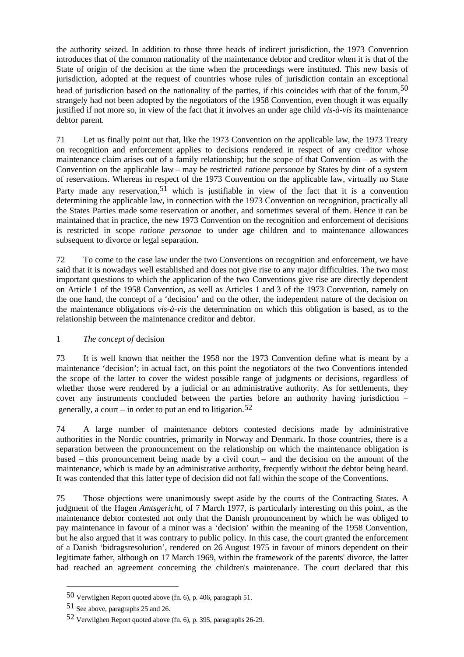the authority seized. In addition to those three heads of indirect jurisdiction, the 1973 Convention introduces that of the common nationality of the maintenance debtor and creditor when it is that of the State of origin of the decision at the time when the proceedings were instituted. This new basis of jurisdiction, adopted at the request of countries whose rules of jurisdiction contain an exceptional head of jurisdiction based on the nationality of the parties, if this coincides with that of the forum,<sup>50</sup> strangely had not been adopted by the negotiators of the 1958 Convention, even though it was equally justified if not more so, in view of the fact that it involves an under age child *vis-à-vis* its maintenance debtor parent.

71 Let us finally point out that, like the 1973 Convention on the applicable law, the 1973 Treaty on recognition and enforcement applies to decisions rendered in respect of any creditor whose maintenance claim arises out of a family relationship; but the scope of that Convention – as with the Convention on the applicable law – may be restricted *ratione personae* by States by dint of a system of reservations. Whereas in respect of the 1973 Convention on the applicable law, virtually no State Party made any reservation,<sup>51</sup> which is justifiable in view of the fact that it is a convention determining the applicable law, in connection with the 1973 Convention on recognition, practically all the States Parties made some reservation or another, and sometimes several of them. Hence it can be maintained that in practice, the new 1973 Convention on the recognition and enforcement of decisions is restricted in scope *ratione personae* to under age children and to maintenance allowances subsequent to divorce or legal separation.

72 To come to the case law under the two Conventions on recognition and enforcement, we have said that it is nowadays well established and does not give rise to any major difficulties. The two most important questions to which the application of the two Conventions give rise are directly dependent on Article 1 of the 1958 Convention, as well as Articles 1 and 3 of the 1973 Convention, namely on the one hand, the concept of a 'decision' and on the other, the independent nature of the decision on the maintenance obligations *vis-à-vis* the determination on which this obligation is based, as to the relationship between the maintenance creditor and debtor.

# 1 *The concept of* decision

73 It is well known that neither the 1958 nor the 1973 Convention define what is meant by a maintenance 'decision'; in actual fact, on this point the negotiators of the two Conventions intended the scope of the latter to cover the widest possible range of judgments or decisions, regardless of whether those were rendered by a judicial or an administrative authority. As for settlements, they cover any instruments concluded between the parties before an authority having jurisdiction – generally, a court – in order to put an end to litigation.<sup>52</sup>

74 A large number of maintenance debtors contested decisions made by administrative authorities in the Nordic countries, primarily in Norway and Denmark. In those countries, there is a separation between the pronouncement on the relationship on which the maintenance obligation is based – this pronouncement being made by a civil court – and the decision on the amount of the maintenance, which is made by an administrative authority, frequently without the debtor being heard. It was contended that this latter type of decision did not fall within the scope of the Conventions.

75 Those objections were unanimously swept aside by the courts of the Contracting States. A judgment of the Hagen *Amtsgericht*, of 7 March 1977, is particularly interesting on this point, as the maintenance debtor contested not only that the Danish pronouncement by which he was obliged to pay maintenance in favour of a minor was a 'decision' within the meaning of the 1958 Convention, but he also argued that it was contrary to public policy. In this case, the court granted the enforcement of a Danish 'bidragsresolution', rendered on 26 August 1975 in favour of minors dependent on their legitimate father, although on 17 March 1969, within the framework of the parents' divorce, the latter had reached an agreement concerning the children's maintenance. The court declared that this

<sup>50</sup> Verwilghen Report quoted above (fn. 6), p. 406, paragraph 51.

<sup>51</sup> See above, paragraphs 25 and 26.

<sup>52</sup> Verwilghen Report quoted above (fn. 6), p. 395, paragraphs 26-29.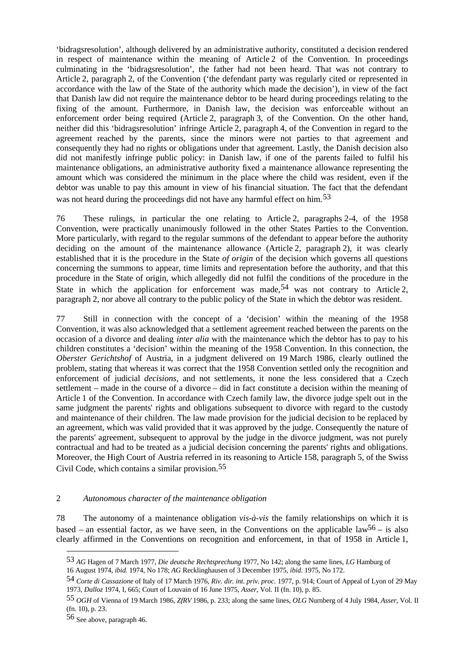'bidragsresolution', although delivered by an administrative authority, constituted a decision rendered in respect of maintenance within the meaning of Article 2 of the Convention. In proceedings culminating in the 'bidragsresolution', the father had not been heard. That was not contrary to Article 2, paragraph 2, of the Convention ('the defendant party was regularly cited or represented in accordance with the law of the State of the authority which made the decision'), in view of the fact that Danish law did not require the maintenance debtor to be heard during proceedings relating to the fixing of the amount. Furthermore, in Danish law, the decision was enforceable without an enforcement order being required (Article 2, paragraph 3, of the Convention. On the other hand, neither did this 'bidragsresolution' infringe Article 2, paragraph 4, of the Convention in regard to the agreement reached by the parents, since the minors were not parties to that agreement and consequently they had no rights or obligations under that agreement. Lastly, the Danish decision also did not manifestly infringe public policy: in Danish law, if one of the parents failed to fulfil his maintenance obligations, an administrative authority fixed a maintenance allowance representing the amount which was considered the minimum in the place where the child was resident, even if the debtor was unable to pay this amount in view of his financial situation. The fact that the defendant was not heard during the proceedings did not have any harmful effect on him.<sup>53</sup>

76 These rulings, in particular the one relating to Article 2, paragraphs 2-4, of the 1958 Convention, were practically unanimously followed in the other States Parties to the Convention. More particularly, with regard to the regular summons of the defendant to appear before the authority deciding on the amount of the maintenance allowance (Article 2, paragraph 2), it was clearly established that it is the procedure in the State *of origin* of the decision which governs all questions concerning the summons to appear, time limits and representation before the authority, and that this procedure in the State of origin, which allegedly did not fulfil the conditions of the procedure in the State in which the application for enforcement was made,  $54$  was not contrary to Article 2, paragraph 2, nor above all contrary to the public policy of the State in which the debtor was resident.

77 Still in connection with the concept of a 'decision' within the meaning of the 1958 Convention, it was also acknowledged that a settlement agreement reached between the parents on the occasion of a divorce and dealing *inter alia* with the maintenance which the debtor has to pay to his children constitutes a 'decision' within the meaning of the 1958 Convention. In this connection, the *Oberster Gerichtshof* of Austria, in a judgment delivered on 19 March 1986, clearly outlined the problem, stating that whereas it was correct that the 1958 Convention settled only the recognition and enforcement of judicial *decisions*, and not settlements, it none the less considered that a Czech settlement – made in the course of a divorce – did in fact constitute a decision within the meaning of Article 1 of the Convention. In accordance with Czech family law, the divorce judge spelt out in the same judgment the parents' rights and obligations subsequent to divorce with regard to the custody and maintenance of their children. The law made provision for the judicial decision to be replaced by an agreement, which was valid provided that it was approved by the judge. Consequently the nature of the parents' agreement, subsequent to approval by the judge in the divorce judgment, was not purely contractual and had to be treated as a judicial decision concerning the parents' rights and obligations. Moreover, the High Court of Austria referred in its reasoning to Article 158, paragraph 5, of the Swiss Civil Code, which contains a similar provision.55

#### 2 *Autonomous character of the maintenance obligation*

78 The autonomy of a maintenance obligation *vis-à-vis* the family relationships on which it is based – an essential factor, as we have seen, in the Conventions on the applicable law<sup>56</sup> – is also clearly affirmed in the Conventions on recognition and enforcement, in that of 1958 in Article 1,

<sup>53</sup> *AG* Hagen of 7 March 1977, *Die deutsche Rechtsprechung* 1977, No 142; along the same lines, *LG* Hamburg of 16 August 1974, *ibid.* 1974, No 178; *AG* Recklinghausen of 3 December 1975, *ibid.* 1975, No 172.

<sup>54</sup> *Corte di Cassazione* of Italy of 17 March 1976, *Riv. dir. int. priv. proc.* 1977, p. 914; Court of Appeal of Lyon of 29 May 1973, *Dalloz* 1974, I, 665; Court of Louvain of 16 June 1975, *Asser*, Vol. II (fn. 10), p. 85.

<sup>55</sup> *OGH* of Vienna of 19 March 1986, *ZfRV* 1986, p. 233; along the same lines, *OLG* Nurnberg of 4 July 1984, *Asser*, Vol. II (fn. 10), p. 23.

<sup>56</sup> See above, paragraph 46.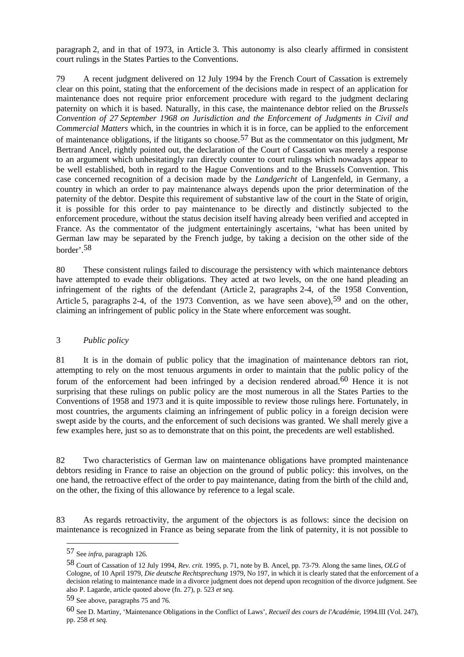paragraph 2, and in that of 1973, in Article 3. This autonomy is also clearly affirmed in consistent court rulings in the States Parties to the Conventions.

79 A recent judgment delivered on 12 July 1994 by the French Court of Cassation is extremely clear on this point, stating that the enforcement of the decisions made in respect of an application for maintenance does not require prior enforcement procedure with regard to the judgment declaring paternity on which it is based. Naturally, in this case, the maintenance debtor relied on the *Brussels Convention of 27 September 1968 on Jurisdiction and the Enforcement of Judgments in Civil and Commercial Matters* which, in the countries in which it is in force, can be applied to the enforcement of maintenance obligations, if the litigants so choose.57 But as the commentator on this judgment, Mr Bertrand Ancel, rightly pointed out, the declaration of the Court of Cassation was merely a response to an argument which unhesitatingly ran directly counter to court rulings which nowadays appear to be well established, both in regard to the Hague Conventions and to the Brussels Convention. This case concerned recognition of a decision made by the *Landgericht* of Langenfeld, in Germany, a country in which an order to pay maintenance always depends upon the prior determination of the paternity of the debtor. Despite this requirement of substantive law of the court in the State of origin, it is possible for this order to pay maintenance to be directly and distinctly subjected to the enforcement procedure, without the status decision itself having already been verified and accepted in France. As the commentator of the judgment entertainingly ascertains, 'what has been united by German law may be separated by the French judge, by taking a decision on the other side of the border'.58

80 These consistent rulings failed to discourage the persistency with which maintenance debtors have attempted to evade their obligations. They acted at two levels, on the one hand pleading an infringement of the rights of the defendant (Article 2, paragraphs 2-4, of the 1958 Convention, Article 5, paragraphs 2-4, of the 1973 Convention, as we have seen above),  $59$  and on the other, claiming an infringement of public policy in the State where enforcement was sought.

#### 3 *Public policy*

81 It is in the domain of public policy that the imagination of maintenance debtors ran riot, attempting to rely on the most tenuous arguments in order to maintain that the public policy of the forum of the enforcement had been infringed by a decision rendered abroad.<sup>60</sup> Hence it is not surprising that these rulings on public policy are the most numerous in all the States Parties to the Conventions of 1958 and 1973 and it is quite impossible to review those rulings here. Fortunately, in most countries, the arguments claiming an infringement of public policy in a foreign decision were swept aside by the courts, and the enforcement of such decisions was granted. We shall merely give a few examples here, just so as to demonstrate that on this point, the precedents are well established.

82 Two characteristics of German law on maintenance obligations have prompted maintenance debtors residing in France to raise an objection on the ground of public policy: this involves, on the one hand, the retroactive effect of the order to pay maintenance, dating from the birth of the child and, on the other, the fixing of this allowance by reference to a legal scale.

83 As regards retroactivity, the argument of the objectors is as follows: since the decision on maintenance is recognized in France as being separate from the link of paternity, it is not possible to

<sup>57</sup> See *infra*, paragraph 126.

<sup>58</sup> Court of Cassation of 12 July 1994, *Rev. crit.* 1995, p. 71, note by B. Ancel, pp. 73-79. Along the same lines, *OLG* of Cologne, of 10 April 1979, *Die deutsche Rechtsprechung* 1979, No 197, in which it is clearly stated that the enforcement of a decision relating to maintenance made in a divorce judgment does not depend upon recognition of the divorce judgment. See also P. Lagarde, article quoted above (fn. 27), p. 523 *et seq.*

<sup>59</sup> See above, paragraphs 75 and 76.

<sup>60</sup> See D. Martiny, 'Maintenance Obligations in the Conflict of Laws', *Recueil des cours de l'Académie*, 1994.III (Vol. 247), pp. 258 *et seq.*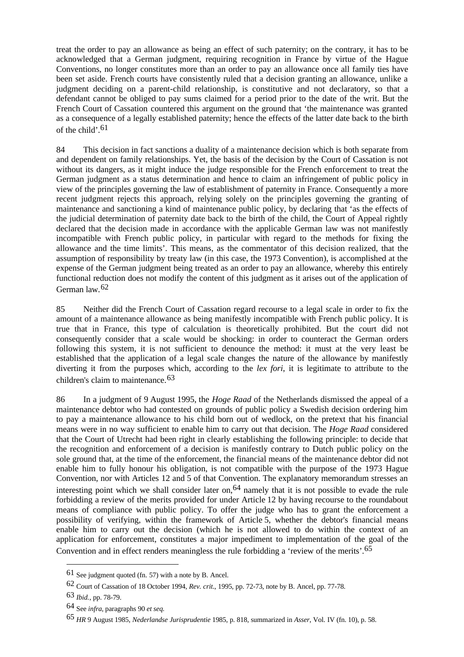treat the order to pay an allowance as being an effect of such paternity; on the contrary, it has to be acknowledged that a German judgment, requiring recognition in France by virtue of the Hague Conventions, no longer constitutes more than an order to pay an allowance once all family ties have been set aside. French courts have consistently ruled that a decision granting an allowance, unlike a judgment deciding on a parent-child relationship, is constitutive and not declaratory, so that a defendant cannot be obliged to pay sums claimed for a period prior to the date of the writ. But the French Court of Cassation countered this argument on the ground that 'the maintenance was granted as a consequence of a legally established paternity; hence the effects of the latter date back to the birth of the child' $61$ 

84 This decision in fact sanctions a duality of a maintenance decision which is both separate from and dependent on family relationships. Yet, the basis of the decision by the Court of Cassation is not without its dangers, as it might induce the judge responsible for the French enforcement to treat the German judgment as a status determination and hence to claim an infringement of public policy in view of the principles governing the law of establishment of paternity in France. Consequently a more recent judgment rejects this approach, relying solely on the principles governing the granting of maintenance and sanctioning a kind of maintenance public policy, by declaring that 'as the effects of the judicial determination of paternity date back to the birth of the child, the Court of Appeal rightly declared that the decision made in accordance with the applicable German law was not manifestly incompatible with French public policy, in particular with regard to the methods for fixing the allowance and the time limits'. This means, as the commentator of this decision realized, that the assumption of responsibility by treaty law (in this case, the 1973 Convention), is accomplished at the expense of the German judgment being treated as an order to pay an allowance, whereby this entirely functional reduction does not modify the content of this judgment as it arises out of the application of German law.62

85 Neither did the French Court of Cassation regard recourse to a legal scale in order to fix the amount of a maintenance allowance as being manifestly incompatible with French public policy. It is true that in France, this type of calculation is theoretically prohibited. But the court did not consequently consider that a scale would be shocking: in order to counteract the German orders following this system, it is not sufficient to denounce the method: it must at the very least be established that the application of a legal scale changes the nature of the allowance by manifestly diverting it from the purposes which, according to the *lex fori*, it is legitimate to attribute to the children's claim to maintenance.63

86 In a judgment of 9 August 1995, the *Hoge Raad* of the Netherlands dismissed the appeal of a maintenance debtor who had contested on grounds of public policy a Swedish decision ordering him to pay a maintenance allowance to his child born out of wedlock, on the pretext that his financial means were in no way sufficient to enable him to carry out that decision. The *Hoge Raad* considered that the Court of Utrecht had been right in clearly establishing the following principle: to decide that the recognition and enforcement of a decision is manifestly contrary to Dutch public policy on the sole ground that, at the time of the enforcement, the financial means of the maintenance debtor did not enable him to fully honour his obligation, is not compatible with the purpose of the 1973 Hague Convention, nor with Articles 12 and 5 of that Convention. The explanatory memorandum stresses an interesting point which we shall consider later on,  $64$  namely that it is not possible to evade the rule forbidding a review of the merits provided for under Article 12 by having recourse to the roundabout means of compliance with public policy. To offer the judge who has to grant the enforcement a possibility of verifying, within the framework of Article 5, whether the debtor's financial means enable him to carry out the decision (which he is not allowed to do within the context of an application for enforcement, constitutes a major impediment to implementation of the goal of the Convention and in effect renders meaningless the rule forbidding a 'review of the merits'.65

<sup>61</sup> See judgment quoted (fn. 57) with a note by B. Ancel.

<sup>62</sup> Court of Cassation of 18 October 1994, *Rev. crit.*, 1995, pp. 72-73, note by B. Ancel, pp. 77-78.

<sup>63</sup> *Ibid.*, pp. 78-79.

<sup>64</sup> See *infra*, paragraphs 90 *et seq.*

<sup>65</sup> *HR* 9 August 1985, *Nederlandse Jurisprudentie* 1985, p. 818, summarized in *Asser*, Vol. IV (fn. 10), p. 58.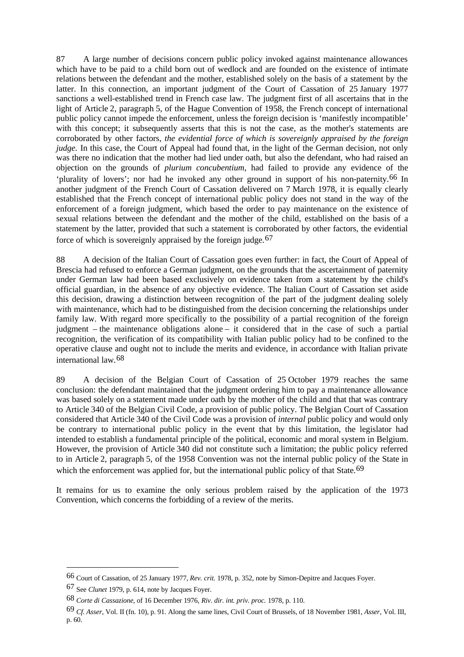87 A large number of decisions concern public policy invoked against maintenance allowances which have to be paid to a child born out of wedlock and are founded on the existence of intimate relations between the defendant and the mother, established solely on the basis of a statement by the latter. In this connection, an important judgment of the Court of Cassation of 25 January 1977 sanctions a well-established trend in French case law. The judgment first of all ascertains that in the light of Article 2, paragraph 5, of the Hague Convention of 1958, the French concept of international public policy cannot impede the enforcement, unless the foreign decision is 'manifestly incompatible' with this concept; it subsequently asserts that this is not the case, as the mother's statements are corroborated by other factors, *the evidential force of which is sovereignly appraised by the foreign judge.* In this case, the Court of Appeal had found that, in the light of the German decision, not only was there no indication that the mother had lied under oath, but also the defendant, who had raised an objection on the grounds of *plurium concubentium*, had failed to provide any evidence of the 'plurality of lovers'; nor had he invoked any other ground in support of his non-paternity.66 In another judgment of the French Court of Cassation delivered on 7 March 1978, it is equally clearly established that the French concept of international public policy does not stand in the way of the enforcement of a foreign judgment, which based the order to pay maintenance on the existence of sexual relations between the defendant and the mother of the child, established on the basis of a statement by the latter, provided that such a statement is corroborated by other factors, the evidential force of which is sovereignly appraised by the foreign judge.<sup>67</sup>

88 A decision of the Italian Court of Cassation goes even further: in fact, the Court of Appeal of Brescia had refused to enforce a German judgment, on the grounds that the ascertainment of paternity under German law had been based exclusively on evidence taken from a statement by the child's official guardian, in the absence of any objective evidence. The Italian Court of Cassation set aside this decision, drawing a distinction between recognition of the part of the judgment dealing solely with maintenance, which had to be distinguished from the decision concerning the relationships under family law. With regard more specifically to the possibility of a partial recognition of the foreign judgment – the maintenance obligations alone – it considered that in the case of such a partial recognition, the verification of its compatibility with Italian public policy had to be confined to the operative clause and ought not to include the merits and evidence, in accordance with Italian private international law.68

89 A decision of the Belgian Court of Cassation of 25 October 1979 reaches the same conclusion: the defendant maintained that the judgment ordering him to pay a maintenance allowance was based solely on a statement made under oath by the mother of the child and that that was contrary to Article 340 of the Belgian Civil Code, a provision of public policy. The Belgian Court of Cassation considered that Article 340 of the Civil Code was a provision of *internal* public policy and would only be contrary to international public policy in the event that by this limitation, the legislator had intended to establish a fundamental principle of the political, economic and moral system in Belgium. However, the provision of Article 340 did not constitute such a limitation; the public policy referred to in Article 2, paragraph 5, of the 1958 Convention was not the internal public policy of the State in which the enforcement was applied for, but the international public policy of that State.<sup>69</sup>

It remains for us to examine the only serious problem raised by the application of the 1973 Convention, which concerns the forbidding of a review of the merits.

<sup>66</sup> Court of Cassation, of 25 January 1977, *Rev. crit.* 1978, p. 352, note by Simon-Depitre and Jacques Foyer.

<sup>67</sup> See *Clunet* 1979, p. 614, note by Jacques Foyer.

<sup>68</sup> *Corte di Cassazione*, of 16 December 1976, *Riv. dir. int. priv. proc.* 1978, p. 110.

<sup>69</sup> *Cf. Asser*, Vol. II (fn. 10), p. 91. Along the same lines, Civil Court of Brussels, of 18 November 1981, *Asser*, Vol. III, p. 60.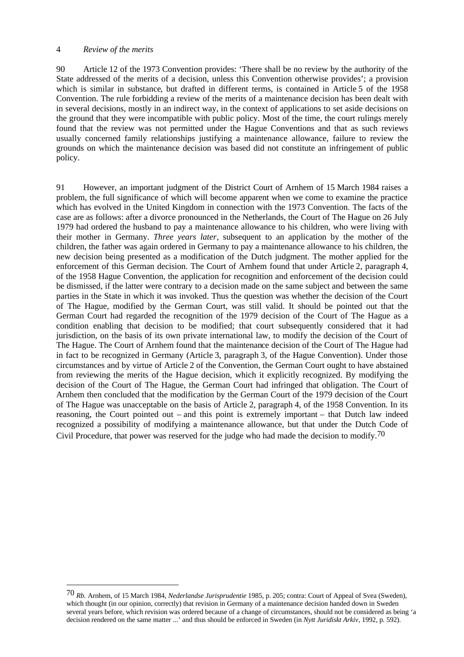#### 4 *Review of the merits*

 $\overline{a}$ 

90 Article 12 of the 1973 Convention provides: 'There shall be no review by the authority of the State addressed of the merits of a decision, unless this Convention otherwise provides'; a provision which is similar in substance, but drafted in different terms, is contained in Article 5 of the 1958 Convention. The rule forbidding a review of the merits of a maintenance decision has been dealt with in several decisions, mostly in an indirect way, in the context of applications to set aside decisions on the ground that they were incompatible with public policy. Most of the time, the court rulings merely found that the review was not permitted under the Hague Conventions and that as such reviews usually concerned family relationships justifying a maintenance allowance, failure to review the grounds on which the maintenance decision was based did not constitute an infringement of public policy.

91 However, an important judgment of the District Court of Arnhem of 15 March 1984 raises a problem, the full significance of which will become apparent when we come to examine the practice which has evolved in the United Kingdom in connection with the 1973 Convention. The facts of the case are as follows: after a divorce pronounced in the Netherlands, the Court of The Hague on 26 July 1979 had ordered the husband to pay a maintenance allowance to his children, who were living with their mother in Germany. *Three years later*, subsequent to an application by the mother of the children, the father was again ordered in Germany to pay a maintenance allowance to his children, the new decision being presented as a modification of the Dutch judgment. The mother applied for the enforcement of this German decision. The Court of Arnhem found that under Article 2, paragraph 4, of the 1958 Hague Convention, the application for recognition and enforcement of the decision could be dismissed, if the latter were contrary to a decision made on the same subject and between the same parties in the State in which it was invoked. Thus the question was whether the decision of the Court of The Hague, modified by the German Court, was still valid. It should be pointed out that the German Court had regarded the recognition of the 1979 decision of the Court of The Hague as a condition enabling that decision to be modified; that court subsequently considered that it had jurisdiction, on the basis of its own private international law, to modify the decision of the Court of The Hague. The Court of Arnhem found that the maintenance decision of the Court of The Hague had in fact to be recognized in Germany (Article 3, paragraph 3, of the Hague Convention). Under those circumstances and by virtue of Article 2 of the Convention, the German Court ought to have abstained from reviewing the merits of the Hague decision, which it explicitly recognized. By modifying the decision of the Court of The Hague, the German Court had infringed that obligation. The Court of Arnhem then concluded that the modification by the German Court of the 1979 decision of the Court of The Hague was unacceptable on the basis of Article 2, paragraph 4, of the 1958 Convention. In its reasoning, the Court pointed out – and this point is extremely important – that Dutch law indeed recognized a possibility of modifying a maintenance allowance, but that under the Dutch Code of Civil Procedure, that power was reserved for the judge who had made the decision to modify.70

<sup>70</sup> *Rb.* Arnhem, of 15 March 1984, *Nederlandse Jurisprudentie* 1985, p. 205; contra: Court of Appeal of Svea (Sweden), which thought (in our opinion, correctly) that revision in Germany of a maintenance decision handed down in Sweden several years before, which revision was ordered because of a change of circumstances, should not be considered as being 'a decision rendered on the same matter ...' and thus should be enforced in Sweden (in *Nytt Juridiskt Arkiv*, 1992, p. 592).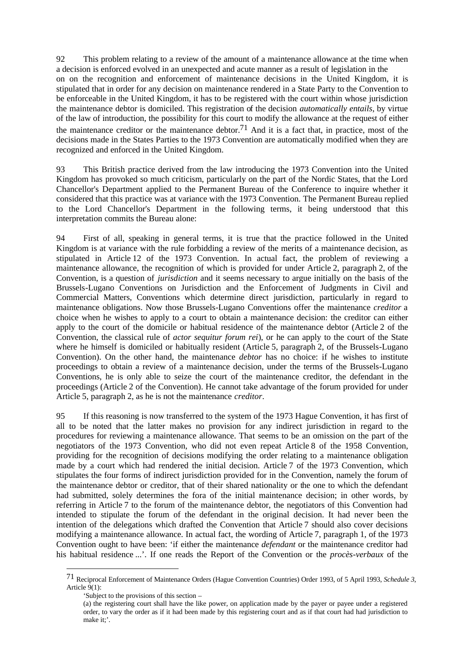92 This problem relating to a review of the amount of a maintenance allowance at the time when a decision is enforced evolved in an unexpected and acute manner as a result of legislation in the on on the recognition and enforcement of maintenance decisions in the United Kingdom, it is stipulated that in order for any decision on maintenance rendered in a State Party to the Convention to be enforceable in the United Kingdom, it has to be registered with the court within whose jurisdiction the maintenance debtor is domiciled. This registration of the decision *automatically entails*, by virtue of the law of introduction, the possibility for this court to modify the allowance at the request of either the maintenance creditor or the maintenance debtor.<sup>71</sup> And it is a fact that, in practice, most of the decisions made in the States Parties to the 1973 Convention are automatically modified when they are recognized and enforced in the United Kingdom.

93 This British practice derived from the law introducing the 1973 Convention into the United Kingdom has provoked so much criticism, particularly on the part of the Nordic States, that the Lord Chancellor's Department applied to the Permanent Bureau of the Conference to inquire whether it considered that this practice was at variance with the 1973 Convention. The Permanent Bureau replied to the Lord Chancellor's Department in the following terms, it being understood that this interpretation commits the Bureau alone:

94 First of all, speaking in general terms, it is true that the practice followed in the United Kingdom is at variance with the rule forbidding a review of the merits of a maintenance decision, as stipulated in Article 12 of the 1973 Convention. In actual fact, the problem of reviewing a maintenance allowance, the recognition of which is provided for under Article 2, paragraph 2, of the Convention, is a question of *jurisdiction* and it seems necessary to argue initially on the basis of the Brussels-Lugano Conventions on Jurisdiction and the Enforcement of Judgments in Civil and Commercial Matters, Conventions which determine direct jurisdiction, particularly in regard to maintenance obligations. Now those Brussels-Lugano Conventions offer the maintenance *creditor* a choice when he wishes to apply to a court to obtain a maintenance decision: the creditor can either apply to the court of the domicile or habitual residence of the maintenance debtor (Article 2 of the Convention, the classical rule of *actor sequitur forum rei*), or he can apply to the court of the State where he himself is domiciled or habitually resident (Article 5, paragraph 2, of the Brussels-Lugano Convention). On the other hand, the maintenance *debtor* has no choice: if he wishes to institute proceedings to obtain a review of a maintenance decision, under the terms of the Brussels-Lugano Conventions, he is only able to seize the court of the maintenance creditor, the defendant in the proceedings (Article 2 of the Convention). He cannot take advantage of the forum provided for under Article 5, paragraph 2, as he is not the maintenance *creditor*.

95 If this reasoning is now transferred to the system of the 1973 Hague Convention, it has first of all to be noted that the latter makes no provision for any indirect jurisdiction in regard to the procedures for reviewing a maintenance allowance. That seems to be an omission on the part of the negotiators of the 1973 Convention, who did not even repeat Article 8 of the 1958 Convention, providing for the recognition of decisions modifying the order relating to a maintenance obligation made by a court which had rendered the initial decision. Article 7 of the 1973 Convention, which stipulates the four forms of indirect jurisdiction provided for in the Convention, namely the forum of the maintenance debtor or creditor, that of their shared nationality or the one to which the defendant had submitted, solely determines the fora of the initial maintenance decision; in other words, by referring in Article 7 to the forum of the maintenance debtor, the negotiators of this Convention had intended to stipulate the forum of the defendant in the original decision. It had never been the intention of the delegations which drafted the Convention that Article 7 should also cover decisions modifying a maintenance allowance. In actual fact, the wording of Article 7, paragraph 1, of the 1973 Convention ought to have been: 'if either the maintenance *defendant* or the maintenance creditor had his habitual residence ...'. If one reads the Report of the Convention or the *procès-verbaux* of the

<sup>71</sup> Reciprocal Enforcement of Maintenance Orders (Hague Convention Countries) Order 1993, of 5 April 1993, *Schedule 3*, Article 9(1):

<sup>&#</sup>x27;Subject to the provisions of this section –

<sup>(</sup>a) the registering court shall have the like power, on application made by the payer or payee under a registered order, to vary the order as if it had been made by this registering court and as if that court had had jurisdiction to make it;'.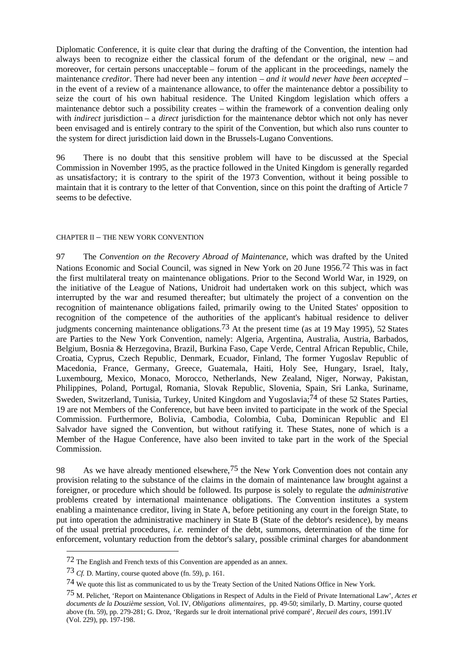Diplomatic Conference, it is quite clear that during the drafting of the Convention, the intention had always been to recognize either the classical forum of the defendant or the original, new – and moreover, for certain persons unacceptable – forum of the applicant in the proceedings, namely the maintenance *creditor*. There had never been any intention – *and it would never have been accepted* – in the event of a review of a maintenance allowance, to offer the maintenance debtor a possibility to seize the court of his own habitual residence. The United Kingdom legislation which offers a maintenance debtor such a possibility creates – within the framework of a convention dealing only with *indirect* jurisdiction – a *direct* jurisdiction for the maintenance debtor which not only has never been envisaged and is entirely contrary to the spirit of the Convention, but which also runs counter to the system for direct jurisdiction laid down in the Brussels-Lugano Conventions.

96 There is no doubt that this sensitive problem will have to be discussed at the Special Commission in November 1995, as the practice followed in the United Kingdom is generally regarded as unsatisfactory; it is contrary to the spirit of the 1973 Convention, without it being possible to maintain that it is contrary to the letter of that Convention, since on this point the drafting of Article 7 seems to be defective.

#### CHAPTER II – THE NEW YORK CONVENTION

97 The *Convention on the Recovery Abroad of Maintenance*, which was drafted by the United Nations Economic and Social Council, was signed in New York on 20 June 1956.72 This was in fact the first multilateral treaty on maintenance obligations. Prior to the Second World War, in 1929, on the initiative of the League of Nations, Unidroit had undertaken work on this subject, which was interrupted by the war and resumed thereafter; but ultimately the project of a convention on the recognition of maintenance obligations failed, primarily owing to the United States' opposition to recognition of the competence of the authorities of the applicant's habitual residence to deliver judgments concerning maintenance obligations.<sup>73</sup> At the present time (as at 19 May 1995), 52 States are Parties to the New York Convention, namely: Algeria, Argentina, Australia, Austria, Barbados, Belgium, Bosnia & Herzegovina, Brazil, Burkina Faso, Cape Verde, Central African Republic, Chile, Croatia, Cyprus, Czech Republic, Denmark, Ecuador, Finland, The former Yugoslav Republic of Macedonia, France, Germany, Greece, Guatemala, Haiti, Holy See, Hungary, Israel, Italy, Luxembourg, Mexico, Monaco, Morocco, Netherlands, New Zealand, Niger, Norway, Pakistan, Philippines, Poland, Portugal, Romania, Slovak Republic, Slovenia, Spain, Sri Lanka, Suriname, Sweden, Switzerland, Tunisia, Turkey, United Kingdom and Yugoslavia;74 of these 52 States Parties, 19 are not Members of the Conference, but have been invited to participate in the work of the Special Commission. Furthermore, Bolivia, Cambodia, Colombia, Cuba, Dominican Republic and El Salvador have signed the Convention, but without ratifying it. These States, none of which is a Member of the Hague Conference, have also been invited to take part in the work of the Special Commission.

98 As we have already mentioned elsewhere,<sup>75</sup> the New York Convention does not contain any provision relating to the substance of the claims in the domain of maintenance law brought against a foreigner, or procedure which should be followed. Its purpose is solely to regulate the *administrative* problems created by international maintenance obligations. The Convention institutes a system enabling a maintenance creditor, living in State A, before petitioning any court in the foreign State, to put into operation the administrative machinery in State B (State of the debtor's residence), by means of the usual pretrial procedures, *i.e.* reminder of the debt, summons, determination of the time for enforcement, voluntary reduction from the debtor's salary, possible criminal charges for abandonment

<sup>72</sup> The English and French texts of this Convention are appended as an annex.

<sup>73</sup> *Cf.* D. Martiny, course quoted above (fn. 59), p. 161.

<sup>74</sup> We quote this list as communicated to us by the Treaty Section of the United Nations Office in New York.

<sup>75</sup> M. Pelichet, 'Report on Maintenance Obligations in Respect of Adults in the Field of Private International Law', *Actes et documents de la Douzième session*, Vol. IV, *Obligations alimentaires*, pp. 49-50; similarly, D. Martiny, course quoted above (fn. 59), pp. 279-281; G. Droz, 'Regards sur le droit international privé comparé', *Recueil des cours*, 1991.IV (Vol. 229), pp. 197-198.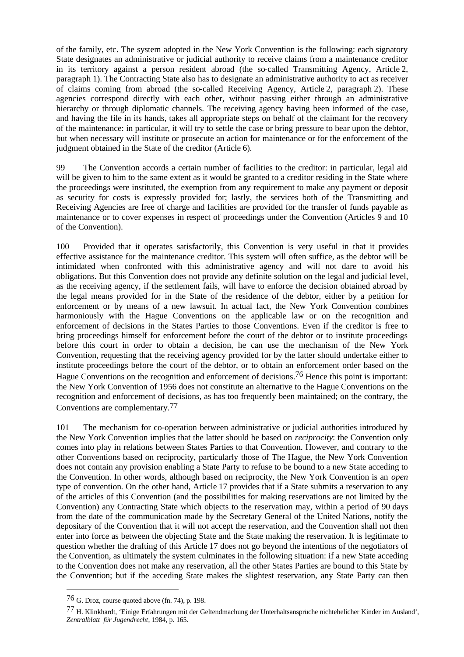of the family, etc. The system adopted in the New York Convention is the following: each signatory State designates an administrative or judicial authority to receive claims from a maintenance creditor in its territory against a person resident abroad (the so-called Transmitting Agency, Article 2, paragraph 1). The Contracting State also has to designate an administrative authority to act as receiver of claims coming from abroad (the so-called Receiving Agency, Article 2, paragraph 2). These agencies correspond directly with each other, without passing either through an administrative hierarchy or through diplomatic channels. The receiving agency having been informed of the case, and having the file in its hands, takes all appropriate steps on behalf of the claimant for the recovery of the maintenance: in particular, it will try to settle the case or bring pressure to bear upon the debtor, but when necessary will institute or prosecute an action for maintenance or for the enforcement of the judgment obtained in the State of the creditor (Article 6).

99 The Convention accords a certain number of facilities to the creditor: in particular, legal aid will be given to him to the same extent as it would be granted to a creditor residing in the State where the proceedings were instituted, the exemption from any requirement to make any payment or deposit as security for costs is expressly provided for; lastly, the services both of the Transmitting and Receiving Agencies are free of charge and facilities are provided for the transfer of funds payable as maintenance or to cover expenses in respect of proceedings under the Convention (Articles 9 and 10 of the Convention).

100 Provided that it operates satisfactorily, this Convention is very useful in that it provides effective assistance for the maintenance creditor. This system will often suffice, as the debtor will be intimidated when confronted with this administrative agency and will not dare to avoid his obligations. But this Convention does not provide any definite solution on the legal and judicial level, as the receiving agency, if the settlement fails, will have to enforce the decision obtained abroad by the legal means provided for in the State of the residence of the debtor, either by a petition for enforcement or by means of a new lawsuit. In actual fact, the New York Convention combines harmoniously with the Hague Conventions on the applicable law or on the recognition and enforcement of decisions in the States Parties to those Conventions. Even if the creditor is free to bring proceedings himself for enforcement before the court of the debtor or to institute proceedings before this court in order to obtain a decision, he can use the mechanism of the New York Convention, requesting that the receiving agency provided for by the latter should undertake either to institute proceedings before the court of the debtor, or to obtain an enforcement order based on the Hague Conventions on the recognition and enforcement of decisions.<sup>76</sup> Hence this point is important: the New York Convention of 1956 does not constitute an alternative to the Hague Conventions on the recognition and enforcement of decisions, as has too frequently been maintained; on the contrary, the Conventions are complementary.77

101 The mechanism for co-operation between administrative or judicial authorities introduced by the New York Convention implies that the latter should be based on *reciprocity*: the Convention only comes into play in relations between States Parties to that Convention. However, and contrary to the other Conventions based on reciprocity, particularly those of The Hague, the New York Convention does not contain any provision enabling a State Party to refuse to be bound to a new State acceding to the Convention. In other words, although based on reciprocity, the New York Convention is an *open* type of convention. On the other hand, Article 17 provides that if a State submits a reservation to any of the articles of this Convention (and the possibilities for making reservations are not limited by the Convention) any Contracting State which objects to the reservation may, within a period of 90 days from the date of the communication made by the Secretary General of the United Nations, notify the depositary of the Convention that it will not accept the reservation, and the Convention shall not then enter into force as between the objecting State and the State making the reservation. It is legitimate to question whether the drafting of this Article 17 does not go beyond the intentions of the negotiators of the Convention, as ultimately the system culminates in the following situation: if a new State acceding to the Convention does not make any reservation, all the other States Parties are bound to this State by the Convention; but if the acceding State makes the slightest reservation, any State Party can then

<sup>76</sup> G. Droz, course quoted above (fn. 74), p. 198.

<sup>77</sup> H. Klinkhardt, 'Einige Erfahrungen mit der Geltendmachung der Unterhaltsansprüche nichtehelicher Kinder im Ausland', *Zentralblatt für Jugendrecht*, 1984, p. 165.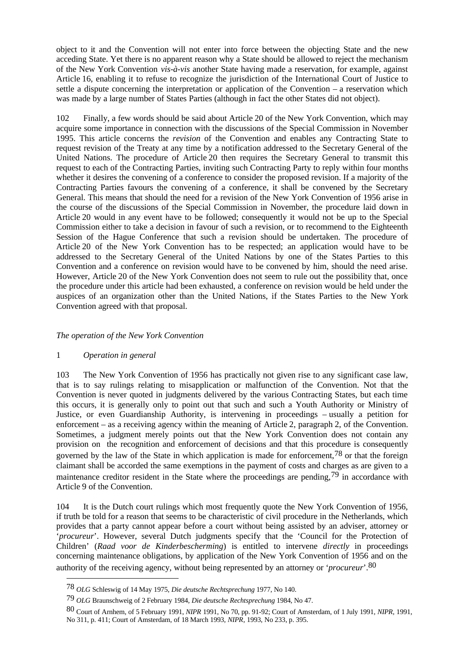object to it and the Convention will not enter into force between the objecting State and the new acceding State. Yet there is no apparent reason why a State should be allowed to reject the mechanism of the New York Convention *vis-à-vis* another State having made a reservation, for example, against Article 16, enabling it to refuse to recognize the jurisdiction of the International Court of Justice to settle a dispute concerning the interpretation or application of the Convention – a reservation which was made by a large number of States Parties (although in fact the other States did not object).

102 Finally, a few words should be said about Article 20 of the New York Convention, which may acquire some importance in connection with the discussions of the Special Commission in November 1995. This article concerns the *revision* of the Convention and enables any Contracting State to request revision of the Treaty at any time by a notification addressed to the Secretary General of the United Nations. The procedure of Article 20 then requires the Secretary General to transmit this request to each of the Contracting Parties, inviting such Contracting Party to reply within four months whether it desires the convening of a conference to consider the proposed revision. If a majority of the Contracting Parties favours the convening of a conference, it shall be convened by the Secretary General. This means that should the need for a revision of the New York Convention of 1956 arise in the course of the discussions of the Special Commission in November, the procedure laid down in Article 20 would in any event have to be followed; consequently it would not be up to the Special Commission either to take a decision in favour of such a revision, or to recommend to the Eighteenth Session of the Hague Conference that such a revision should be undertaken. The procedure of Article 20 of the New York Convention has to be respected; an application would have to be addressed to the Secretary General of the United Nations by one of the States Parties to this Convention and a conference on revision would have to be convened by him, should the need arise. However, Article 20 of the New York Convention does not seem to rule out the possibility that, once the procedure under this article had been exhausted, a conference on revision would be held under the auspices of an organization other than the United Nations, if the States Parties to the New York Convention agreed with that proposal.

# *The operation of the New York Convention*

#### 1 *Operation in general*

 $\overline{a}$ 

103 The New York Convention of 1956 has practically not given rise to any significant case law, that is to say rulings relating to misapplication or malfunction of the Convention. Not that the Convention is never quoted in judgments delivered by the various Contracting States, but each time this occurs, it is generally only to point out that such and such a Youth Authority or Ministry of Justice, or even Guardianship Authority, is intervening in proceedings – usually a petition for enforcement – as a receiving agency within the meaning of Article 2, paragraph 2, of the Convention. Sometimes, a judgment merely points out that the New York Convention does not contain any provision on the recognition and enforcement of decisions and that this procedure is consequently governed by the law of the State in which application is made for enforcement,  $^{78}$  or that the foreign claimant shall be accorded the same exemptions in the payment of costs and charges as are given to a maintenance creditor resident in the State where the proceedings are pending,<sup>79</sup> in accordance with Article 9 of the Convention.

104 It is the Dutch court rulings which most frequently quote the New York Convention of 1956, if truth be told for a reason that seems to be characteristic of civil procedure in the Netherlands, which provides that a party cannot appear before a court without being assisted by an adviser, attorney or '*procureur*'. However, several Dutch judgments specify that the 'Council for the Protection of Children' (*Raad voor de Kinderbescherming*) is entitled to intervene *directly* in proceedings concerning maintenance obligations, by application of the New York Convention of 1956 and on the authority of the receiving agency, without being represented by an attorney or '*procureur*'.80

<sup>78</sup> *OLG* Schleswig of 14 May 1975, *Die deutsche Rechtsprechung* 1977, No 140.

<sup>79</sup> *OLG* Braunschweig of 2 February 1984, *Die deutsche Rechtsprechung* 1984, No 47.

<sup>80</sup> Court of Arnhem, of 5 February 1991, *NIPR* 1991, No 70, pp. 91-92; Court of Amsterdam, of 1 July 1991, *NIPR*, 1991, No 311, p. 411; Court of Amsterdam, of 18 March 1993, *NIPR*, 1993, No 233, p. 395.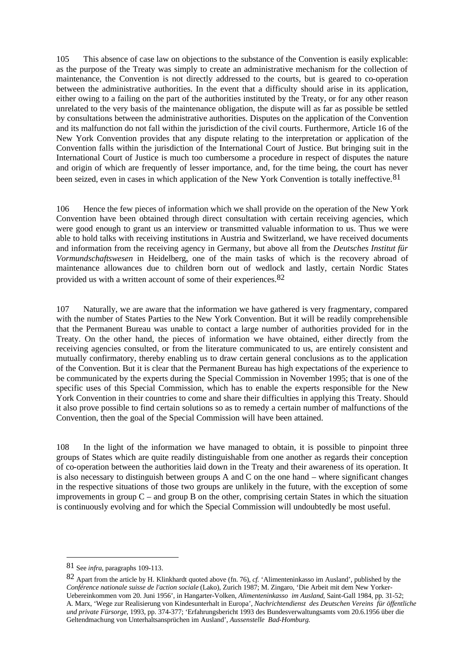105 This absence of case law on objections to the substance of the Convention is easily explicable: as the purpose of the Treaty was simply to create an administrative mechanism for the collection of maintenance, the Convention is not directly addressed to the courts, but is geared to co-operation between the administrative authorities. In the event that a difficulty should arise in its application, either owing to a failing on the part of the authorities instituted by the Treaty, or for any other reason unrelated to the very basis of the maintenance obligation, the dispute will as far as possible be settled by consultations between the administrative authorities. Disputes on the application of the Convention and its malfunction do not fall within the jurisdiction of the civil courts. Furthermore, Article 16 of the New York Convention provides that any dispute relating to the interpretation or application of the Convention falls within the jurisdiction of the International Court of Justice. But bringing suit in the International Court of Justice is much too cumbersome a procedure in respect of disputes the nature and origin of which are frequently of lesser importance, and, for the time being, the court has never been seized, even in cases in which application of the New York Convention is totally ineffective.<sup>81</sup>

106 Hence the few pieces of information which we shall provide on the operation of the New York Convention have been obtained through direct consultation with certain receiving agencies, which were good enough to grant us an interview or transmitted valuable information to us. Thus we were able to hold talks with receiving institutions in Austria and Switzerland, we have received documents and information from the receiving agency in Germany, but above all from the *Deutsches Institut für Vormundschaftswesen* in Heidelberg, one of the main tasks of which is the recovery abroad of maintenance allowances due to children born out of wedlock and lastly, certain Nordic States provided us with a written account of some of their experiences.82

107 Naturally, we are aware that the information we have gathered is very fragmentary, compared with the number of States Parties to the New York Convention. But it will be readily comprehensible that the Permanent Bureau was unable to contact a large number of authorities provided for in the Treaty. On the other hand, the pieces of information we have obtained, either directly from the receiving agencies consulted, or from the literature communicated to us, are entirely consistent and mutually confirmatory, thereby enabling us to draw certain general conclusions as to the application of the Convention. But it is clear that the Permanent Bureau has high expectations of the experience to be communicated by the experts during the Special Commission in November 1995; that is one of the specific uses of this Special Commission, which has to enable the experts responsible for the New York Convention in their countries to come and share their difficulties in applying this Treaty. Should it also prove possible to find certain solutions so as to remedy a certain number of malfunctions of the Convention, then the goal of the Special Commission will have been attained.

108 In the light of the information we have managed to obtain, it is possible to pinpoint three groups of States which are quite readily distinguishable from one another as regards their conception of co-operation between the authorities laid down in the Treaty and their awareness of its operation. It is also necessary to distinguish between groups A and C on the one hand – where significant changes in the respective situations of those two groups are unlikely in the future, with the exception of some improvements in group  $C$  – and group B on the other, comprising certain States in which the situation is continuously evolving and for which the Special Commission will undoubtedly be most useful.

<sup>81</sup> See *infra*, paragraphs 109-113.

<sup>82</sup> Apart from the article by H. Klinkhardt quoted above (fn. 76), *cf.* 'Alimenteninkasso im Ausland', published by the *Conférence nationale suisse de l'action sociale* (Lako), Zurich 1987; M. Zingaro, 'Die Arbeit mit dem New Yorker-Uebereinkommen vom 20. Juni 1956', in Hangarter-Volken, *Alimenteninkasso im Ausland*, Saint-Gall 1984, pp. 31-52; A. Marx, 'Wege zur Realisierung von Kindesunterhalt in Europa', *Nachrichtendienst des Deutschen Vereins für öffentliche und private Fürsorge*, 1993, pp. 374-377; 'Erfahrungsbericht 1993 des Bundesverwaltungsamts vom 20.6.1956 über die Geltendmachung von Unterhaltsansprüchen im Ausland', *Aussenstelle Bad-Homburg*.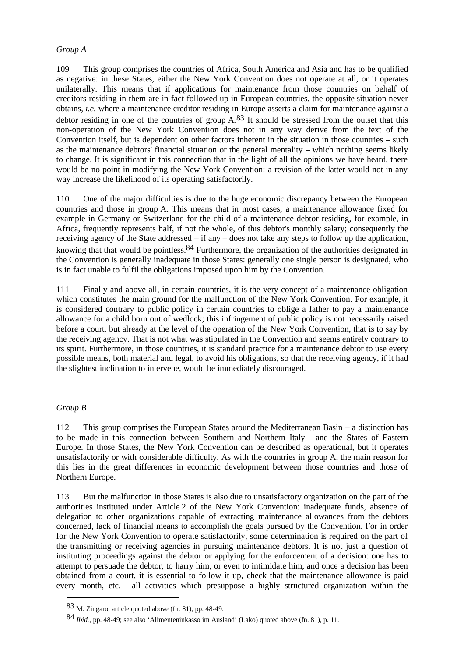### *Group A*

109 This group comprises the countries of Africa, South America and Asia and has to be qualified as negative: in these States, either the New York Convention does not operate at all, or it operates unilaterally. This means that if applications for maintenance from those countries on behalf of creditors residing in them are in fact followed up in European countries, the opposite situation never obtains, *i.e.* where a maintenance creditor residing in Europe asserts a claim for maintenance against a debtor residing in one of the countries of group  $A^{83}$  It should be stressed from the outset that this non-operation of the New York Convention does not in any way derive from the text of the Convention itself, but is dependent on other factors inherent in the situation in those countries – such as the maintenance debtors' financial situation or the general mentality – which nothing seems likely to change. It is significant in this connection that in the light of all the opinions we have heard, there would be no point in modifying the New York Convention: a revision of the latter would not in any way increase the likelihood of its operating satisfactorily.

110 One of the major difficulties is due to the huge economic discrepancy between the European countries and those in group A. This means that in most cases, a maintenance allowance fixed for example in Germany or Switzerland for the child of a maintenance debtor residing, for example, in Africa, frequently represents half, if not the whole, of this debtor's monthly salary; consequently the receiving agency of the State addressed – if any – does not take any steps to follow up the application, knowing that that would be pointless.<sup>84</sup> Furthermore, the organization of the authorities designated in the Convention is generally inadequate in those States: generally one single person is designated, who is in fact unable to fulfil the obligations imposed upon him by the Convention.

111 Finally and above all, in certain countries, it is the very concept of a maintenance obligation which constitutes the main ground for the malfunction of the New York Convention. For example, it is considered contrary to public policy in certain countries to oblige a father to pay a maintenance allowance for a child born out of wedlock; this infringement of public policy is not necessarily raised before a court, but already at the level of the operation of the New York Convention, that is to say by the receiving agency. That is not what was stipulated in the Convention and seems entirely contrary to its spirit. Furthermore, in those countries, it is standard practice for a maintenance debtor to use every possible means, both material and legal, to avoid his obligations, so that the receiving agency, if it had the slightest inclination to intervene, would be immediately discouraged.

# *Group B*

 $\overline{a}$ 

112 This group comprises the European States around the Mediterranean Basin – a distinction has to be made in this connection between Southern and Northern Italy – and the States of Eastern Europe. In those States, the New York Convention can be described as operational, but it operates unsatisfactorily or with considerable difficulty. As with the countries in group A, the main reason for this lies in the great differences in economic development between those countries and those of Northern Europe.

113 But the malfunction in those States is also due to unsatisfactory organization on the part of the authorities instituted under Article 2 of the New York Convention: inadequate funds, absence of delegation to other organizations capable of extracting maintenance allowances from the debtors concerned, lack of financial means to accomplish the goals pursued by the Convention. For in order for the New York Convention to operate satisfactorily, some determination is required on the part of the transmitting or receiving agencies in pursuing maintenance debtors. It is not just a question of instituting proceedings against the debtor or applying for the enforcement of a decision: one has to attempt to persuade the debtor, to harry him, or even to intimidate him, and once a decision has been obtained from a court, it is essential to follow it up, check that the maintenance allowance is paid every month, etc. – all activities which presuppose a highly structured organization within the

<sup>83</sup> M. Zingaro, article quoted above (fn. 81), pp. 48-49.

<sup>84</sup> *Ibid.*, pp. 48-49; see also 'Alimenteninkasso im Ausland' (Lako) quoted above (fn. 81), p. 11.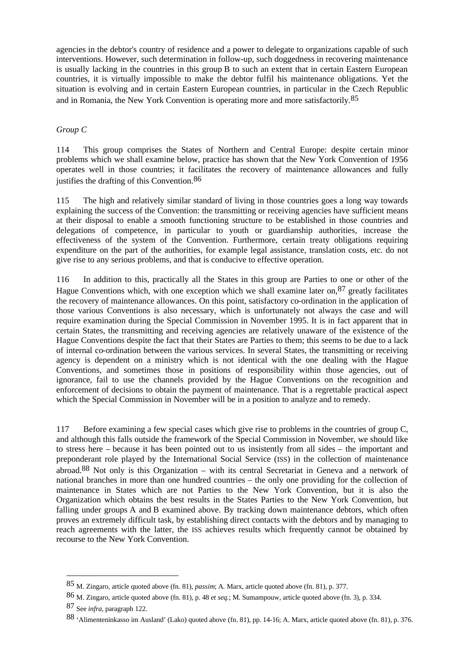agencies in the debtor's country of residence and a power to delegate to organizations capable of such interventions. However, such determination in follow-up, such doggedness in recovering maintenance is usually lacking in the countries in this group B to such an extent that in certain Eastern European countries, it is virtually impossible to make the debtor fulfil his maintenance obligations. Yet the situation is evolving and in certain Eastern European countries, in particular in the Czech Republic and in Romania, the New York Convention is operating more and more satisfactorily.85

### *Group C*

114 This group comprises the States of Northern and Central Europe: despite certain minor problems which we shall examine below, practice has shown that the New York Convention of 1956 operates well in those countries; it facilitates the recovery of maintenance allowances and fully justifies the drafting of this Convention.86

115 The high and relatively similar standard of living in those countries goes a long way towards explaining the success of the Convention: the transmitting or receiving agencies have sufficient means at their disposal to enable a smooth functioning structure to be established in those countries and delegations of competence, in particular to youth or guardianship authorities, increase the effectiveness of the system of the Convention. Furthermore, certain treaty obligations requiring expenditure on the part of the authorities, for example legal assistance, translation costs, etc. do not give rise to any serious problems, and that is conducive to effective operation.

116 In addition to this, practically all the States in this group are Parties to one or other of the Hague Conventions which, with one exception which we shall examine later on,  $87$  greatly facilitates the recovery of maintenance allowances. On this point, satisfactory co-ordination in the application of those various Conventions is also necessary, which is unfortunately not always the case and will require examination during the Special Commission in November 1995. It is in fact apparent that in certain States, the transmitting and receiving agencies are relatively unaware of the existence of the Hague Conventions despite the fact that their States are Parties to them; this seems to be due to a lack of internal co-ordination between the various services. In several States, the transmitting or receiving agency is dependent on a ministry which is not identical with the one dealing with the Hague Conventions, and sometimes those in positions of responsibility within those agencies, out of ignorance, fail to use the channels provided by the Hague Conventions on the recognition and enforcement of decisions to obtain the payment of maintenance. That is a regrettable practical aspect which the Special Commission in November will be in a position to analyze and to remedy.

117 Before examining a few special cases which give rise to problems in the countries of group C, and although this falls outside the framework of the Special Commission in November, we should like to stress here – because it has been pointed out to us insistently from all sides – the important and preponderant role played by the International Social Service (ISS) in the collection of maintenance abroad.88 Not only is this Organization – with its central Secretariat in Geneva and a network of national branches in more than one hundred countries – the only one providing for the collection of maintenance in States which are not Parties to the New York Convention, but it is also the Organization which obtains the best results in the States Parties to the New York Convention, but falling under groups A and B examined above. By tracking down maintenance debtors, which often proves an extremely difficult task, by establishing direct contacts with the debtors and by managing to reach agreements with the latter, the ISS achieves results which frequently cannot be obtained by recourse to the New York Convention.

<sup>85</sup> M. Zingaro, article quoted above (fn. 81), *passim*; A. Marx, article quoted above (fn. 81), p. 377.

<sup>86</sup> M. Zingaro, article quoted above (fn. 81), p. 48 *et seq.*; M. Sumampouw, article quoted above (fn. 3), p. 334.

<sup>87</sup> See *infra*, paragraph 122.

<sup>88</sup> 'Alimenteninkasso im Ausland' (Lako) quoted above (fn. 81), pp. 14-16; A. Marx, article quoted above (fn. 81), p. 376.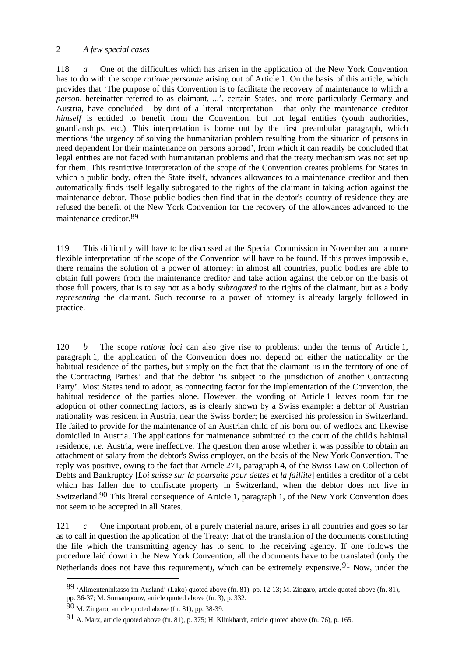### 2 *A few special cases*

118 *a* One of the difficulties which has arisen in the application of the New York Convention has to do with the scope *ratione personae* arising out of Article 1. On the basis of this article, which provides that 'The purpose of this Convention is to facilitate the recovery of maintenance to which a *person*, hereinafter referred to as claimant, ...', certain States, and more particularly Germany and Austria, have concluded – by dint of a literal interpretation – that only the maintenance creditor *himself* is entitled to benefit from the Convention, but not legal entities (youth authorities, guardianships, etc.). This interpretation is borne out by the first preambular paragraph, which mentions 'the urgency of solving the humanitarian problem resulting from the situation of persons in need dependent for their maintenance on persons abroad', from which it can readily be concluded that legal entities are not faced with humanitarian problems and that the treaty mechanism was not set up for them. This restrictive interpretation of the scope of the Convention creates problems for States in which a public body, often the State itself, advances allowances to a maintenance creditor and then automatically finds itself legally subrogated to the rights of the claimant in taking action against the maintenance debtor. Those public bodies then find that in the debtor's country of residence they are refused the benefit of the New York Convention for the recovery of the allowances advanced to the maintenance creditor.89

119 This difficulty will have to be discussed at the Special Commission in November and a more flexible interpretation of the scope of the Convention will have to be found. If this proves impossible, there remains the solution of a power of attorney: in almost all countries, public bodies are able to obtain full powers from the maintenance creditor and take action against the debtor on the basis of those full powers, that is to say not as a body *subrogated* to the rights of the claimant, but as a body *representing* the claimant. Such recourse to a power of attorney is already largely followed in practice.

120 *b* The scope *ratione loci* can also give rise to problems: under the terms of Article 1, paragraph 1, the application of the Convention does not depend on either the nationality or the habitual residence of the parties, but simply on the fact that the claimant 'is in the territory of one of the Contracting Parties' and that the debtor 'is subject to the jurisdiction of another Contracting Party'. Most States tend to adopt, as connecting factor for the implementation of the Convention, the habitual residence of the parties alone. However, the wording of Article 1 leaves room for the adoption of other connecting factors, as is clearly shown by a Swiss example: a debtor of Austrian nationality was resident in Austria, near the Swiss border; he exercised his profession in Switzerland. He failed to provide for the maintenance of an Austrian child of his born out of wedlock and likewise domiciled in Austria. The applications for maintenance submitted to the court of the child's habitual residence, *i.e.* Austria, were ineffective. The question then arose whether it was possible to obtain an attachment of salary from the debtor's Swiss employer, on the basis of the New York Convention. The reply was positive, owing to the fact that Article 271, paragraph 4, of the Swiss Law on Collection of Debts and Bankruptcy [*Loi suisse sur la poursuite pour dettes et la faillite*] entitles a creditor of a debt which has fallen due to confiscate property in Switzerland, when the debtor does not live in Switzerland.<sup>90</sup> This literal consequence of Article 1, paragraph 1, of the New York Convention does not seem to be accepted in all States.

121 *c* One important problem, of a purely material nature, arises in all countries and goes so far as to call in question the application of the Treaty: that of the translation of the documents constituting the file which the transmitting agency has to send to the receiving agency. If one follows the procedure laid down in the New York Convention, all the documents have to be translated (only the Netherlands does not have this requirement), which can be extremely expensive.<sup>91</sup> Now, under the

<sup>89</sup> 'Alimenteninkasso im Ausland' (Lako) quoted above (fn. 81), pp. 12-13; M. Zingaro, article quoted above (fn. 81),

pp. 36-37; M. Sumampouw, article quoted above (fn. 3), p. 332.

<sup>90</sup> M. Zingaro, article quoted above (fn. 81), pp. 38-39.

<sup>91</sup> A. Marx, article quoted above (fn. 81), p. 375; H. Klinkhardt, article quoted above (fn. 76), p. 165.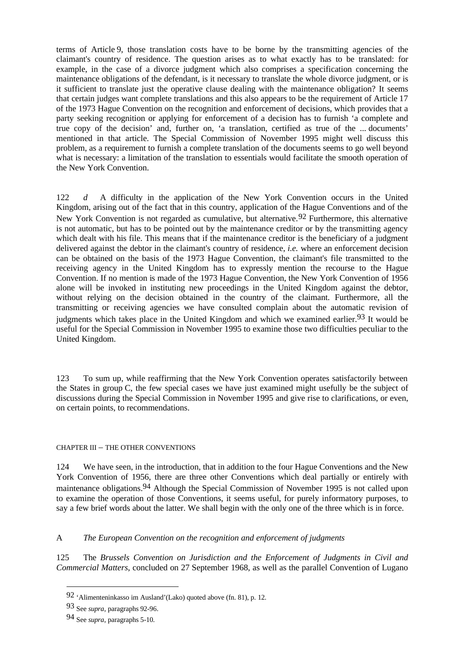terms of Article 9, those translation costs have to be borne by the transmitting agencies of the claimant's country of residence. The question arises as to what exactly has to be translated: for example, in the case of a divorce judgment which also comprises a specification concerning the maintenance obligations of the defendant, is it necessary to translate the whole divorce judgment, or is it sufficient to translate just the operative clause dealing with the maintenance obligation? It seems that certain judges want complete translations and this also appears to be the requirement of Article 17 of the 1973 Hague Convention on the recognition and enforcement of decisions, which provides that a party seeking recognition or applying for enforcement of a decision has to furnish 'a complete and true copy of the decision' and, further on, 'a translation, certified as true of the ... documents' mentioned in that article. The Special Commission of November 1995 might well discuss this problem, as a requirement to furnish a complete translation of the documents seems to go well beyond what is necessary: a limitation of the translation to essentials would facilitate the smooth operation of the New York Convention.

122 *d* A difficulty in the application of the New York Convention occurs in the United Kingdom, arising out of the fact that in this country, application of the Hague Conventions and of the New York Convention is not regarded as cumulative, but alternative.  $92$  Furthermore, this alternative is not automatic, but has to be pointed out by the maintenance creditor or by the transmitting agency which dealt with his file. This means that if the maintenance creditor is the beneficiary of a judgment delivered against the debtor in the claimant's country of residence, *i.e.* where an enforcement decision can be obtained on the basis of the 1973 Hague Convention, the claimant's file transmitted to the receiving agency in the United Kingdom has to expressly mention the recourse to the Hague Convention. If no mention is made of the 1973 Hague Convention, the New York Convention of 1956 alone will be invoked in instituting new proceedings in the United Kingdom against the debtor, without relying on the decision obtained in the country of the claimant. Furthermore, all the transmitting or receiving agencies we have consulted complain about the automatic revision of judgments which takes place in the United Kingdom and which we examined earlier.<sup>93</sup> It would be useful for the Special Commission in November 1995 to examine those two difficulties peculiar to the United Kingdom.

123 To sum up, while reaffirming that the New York Convention operates satisfactorily between the States in group C, the few special cases we have just examined might usefully be the subject of discussions during the Special Commission in November 1995 and give rise to clarifications, or even, on certain points, to recommendations.

#### CHAPTER III – THE OTHER CONVENTIONS

124 We have seen, in the introduction, that in addition to the four Hague Conventions and the New York Convention of 1956, there are three other Conventions which deal partially or entirely with maintenance obligations.94 Although the Special Commission of November 1995 is not called upon to examine the operation of those Conventions, it seems useful, for purely informatory purposes, to say a few brief words about the latter. We shall begin with the only one of the three which is in force.

#### A *The European Convention on the recognition and enforcement of judgments*

125 The *Brussels Convention on Jurisdiction and the Enforcement of Judgments in Civil and Commercial Matters*, concluded on 27 September 1968, as well as the parallel Convention of Lugano

<sup>92</sup> 'Alimenteninkasso im Ausland'(Lako) quoted above (fn. 81), p. 12.

<sup>93</sup> See *supra*, paragraphs 92-96.

<sup>94</sup> See *supra*, paragraphs 5-10.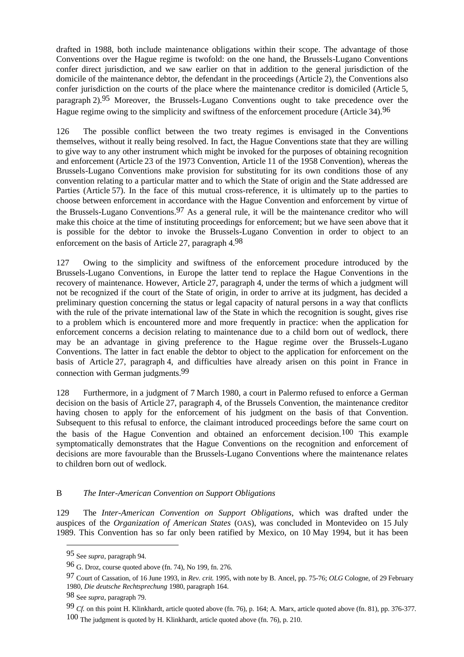drafted in 1988, both include maintenance obligations within their scope. The advantage of those Conventions over the Hague regime is twofold: on the one hand, the Brussels-Lugano Conventions confer direct jurisdiction, and we saw earlier on that in addition to the general jurisdiction of the domicile of the maintenance debtor, the defendant in the proceedings (Article 2), the Conventions also confer jurisdiction on the courts of the place where the maintenance creditor is domiciled (Article 5, paragraph 2).95 Moreover, the Brussels-Lugano Conventions ought to take precedence over the Hague regime owing to the simplicity and swiftness of the enforcement procedure (Article 34).<sup>96</sup>

126 The possible conflict between the two treaty regimes is envisaged in the Conventions themselves, without it really being resolved. In fact, the Hague Conventions state that they are willing to give way to any other instrument which might be invoked for the purposes of obtaining recognition and enforcement (Article 23 of the 1973 Convention, Article 11 of the 1958 Convention), whereas the Brussels-Lugano Conventions make provision for substituting for its own conditions those of any convention relating to a particular matter and to which the State of origin and the State addressed are Parties (Article 57). In the face of this mutual cross-reference, it is ultimately up to the parties to choose between enforcement in accordance with the Hague Convention and enforcement by virtue of the Brussels-Lugano Conventions.<sup>97</sup> As a general rule, it will be the maintenance creditor who will make this choice at the time of instituting proceedings for enforcement; but we have seen above that it is possible for the debtor to invoke the Brussels-Lugano Convention in order to object to an enforcement on the basis of Article 27, paragraph 4.98

127 Owing to the simplicity and swiftness of the enforcement procedure introduced by the Brussels-Lugano Conventions, in Europe the latter tend to replace the Hague Conventions in the recovery of maintenance. However, Article 27, paragraph 4, under the terms of which a judgment will not be recognized if the court of the State of origin, in order to arrive at its judgment, has decided a preliminary question concerning the status or legal capacity of natural persons in a way that conflicts with the rule of the private international law of the State in which the recognition is sought, gives rise to a problem which is encountered more and more frequently in practice: when the application for enforcement concerns a decision relating to maintenance due to a child born out of wedlock, there may be an advantage in giving preference to the Hague regime over the Brussels-Lugano Conventions. The latter in fact enable the debtor to object to the application for enforcement on the basis of Article 27, paragraph 4, and difficulties have already arisen on this point in France in connection with German judgments.99

128 Furthermore, in a judgment of 7 March 1980, a court in Palermo refused to enforce a German decision on the basis of Article 27, paragraph 4, of the Brussels Convention, the maintenance creditor having chosen to apply for the enforcement of his judgment on the basis of that Convention. Subsequent to this refusal to enforce, the claimant introduced proceedings before the same court on the basis of the Hague Convention and obtained an enforcement decision.100 This example symptomatically demonstrates that the Hague Conventions on the recognition and enforcement of decisions are more favourable than the Brussels-Lugano Conventions where the maintenance relates to children born out of wedlock.

# B *The Inter-American Convention on Support Obligations*

129 The *Inter-American Convention on Support Obligations*, which was drafted under the auspices of the *Organization of American States* (OAS), was concluded in Montevideo on 15 July 1989. This Convention has so far only been ratified by Mexico, on 10 May 1994, but it has been

<sup>95</sup> See *supra*, paragraph 94.

<sup>96</sup> G. Droz, course quoted above (fn. 74), No 199, fn. 276.

<sup>97</sup> Court of Cassation, of 16 June 1993, in *Rev. crit.* 1995, with note by B. Ancel, pp. 75-76; *OLG* Cologne, of 29 February 1980, *Die deutsche Rechtsprechung* 1980, paragraph 164.

<sup>98</sup> See *supra*, paragraph 79.

<sup>99</sup> *Cf.* on this point H. Klinkhardt, article quoted above (fn. 76), p. 164; A. Marx, article quoted above (fn. 81), pp. 376-377. 100 The judgment is quoted by H. Klinkhardt, article quoted above (fn. 76), p. 210.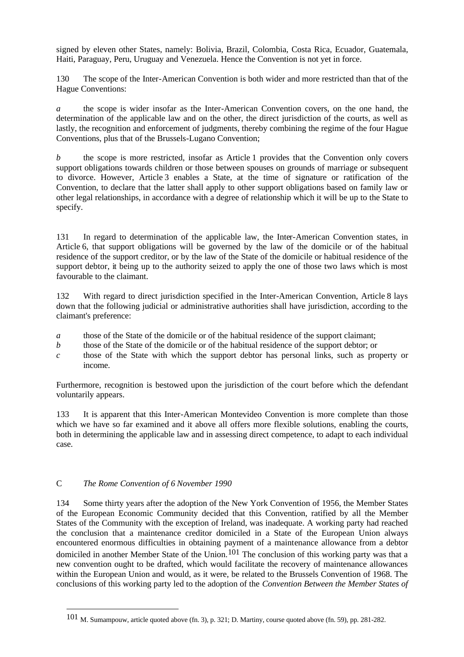signed by eleven other States, namely: Bolivia, Brazil, Colombia, Costa Rica, Ecuador, Guatemala, Haiti, Paraguay, Peru, Uruguay and Venezuela. Hence the Convention is not yet in force.

130 The scope of the Inter-American Convention is both wider and more restricted than that of the Hague Conventions:

*a* the scope is wider insofar as the Inter-American Convention covers, on the one hand, the determination of the applicable law and on the other, the direct jurisdiction of the courts, as well as lastly, the recognition and enforcement of judgments, thereby combining the regime of the four Hague Conventions, plus that of the Brussels-Lugano Convention;

*b* the scope is more restricted, insofar as Article 1 provides that the Convention only covers support obligations towards children or those between spouses on grounds of marriage or subsequent to divorce. However, Article 3 enables a State, at the time of signature or ratification of the Convention, to declare that the latter shall apply to other support obligations based on family law or other legal relationships, in accordance with a degree of relationship which it will be up to the State to specify.

131 In regard to determination of the applicable law, the Inter-American Convention states, in Article 6, that support obligations will be governed by the law of the domicile or of the habitual residence of the support creditor, or by the law of the State of the domicile or habitual residence of the support debtor, it being up to the authority seized to apply the one of those two laws which is most favourable to the claimant.

132 With regard to direct jurisdiction specified in the Inter-American Convention, Article 8 lays down that the following judicial or administrative authorities shall have jurisdiction, according to the claimant's preference:

- *a* those of the State of the domicile or of the habitual residence of the support claimant;
- *b* those of the State of the domicile or of the habitual residence of the support debtor; or
- *c* those of the State with which the support debtor has personal links, such as property or income.

Furthermore, recognition is bestowed upon the jurisdiction of the court before which the defendant voluntarily appears.

133 It is apparent that this Inter-American Montevideo Convention is more complete than those which we have so far examined and it above all offers more flexible solutions, enabling the courts, both in determining the applicable law and in assessing direct competence, to adapt to each individual case.

# C *The Rome Convention of 6 November 1990*

 $\overline{a}$ 

134 Some thirty years after the adoption of the New York Convention of 1956, the Member States of the European Economic Community decided that this Convention, ratified by all the Member States of the Community with the exception of Ireland, was inadequate. A working party had reached the conclusion that a maintenance creditor domiciled in a State of the European Union always encountered enormous difficulties in obtaining payment of a maintenance allowance from a debtor domiciled in another Member State of the Union.<sup>101</sup> The conclusion of this working party was that a new convention ought to be drafted, which would facilitate the recovery of maintenance allowances within the European Union and would, as it were, be related to the Brussels Convention of 1968. The conclusions of this working party led to the adoption of the *Convention Between the Member States of* 

<sup>101</sup> M. Sumampouw, article quoted above (fn. 3), p. 321; D. Martiny, course quoted above (fn. 59), pp. 281-282.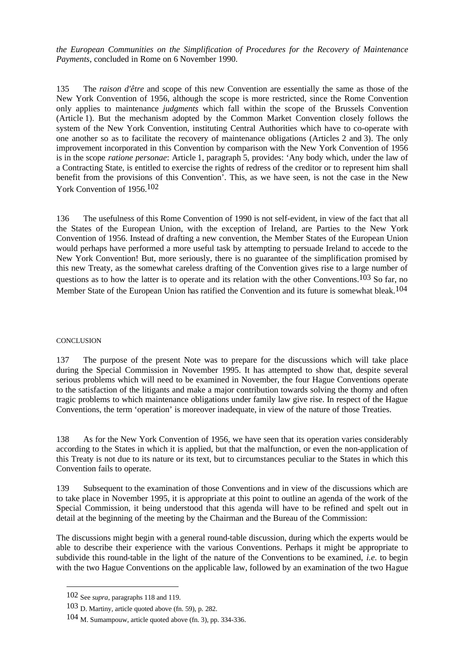*the European Communities on the Simplification of Procedures for the Recovery of Maintenance Payments*, concluded in Rome on 6 November 1990.

135 The *raison d'être* and scope of this new Convention are essentially the same as those of the New York Convention of 1956, although the scope is more restricted, since the Rome Convention only applies to maintenance *judgments* which fall within the scope of the Brussels Convention (Article 1). But the mechanism adopted by the Common Market Convention closely follows the system of the New York Convention, instituting Central Authorities which have to co-operate with one another so as to facilitate the recovery of maintenance obligations (Articles 2 and 3). The only improvement incorporated in this Convention by comparison with the New York Convention of 1956 is in the scope *ratione personae*: Article 1, paragraph 5, provides: 'Any body which, under the law of a Contracting State, is entitled to exercise the rights of redress of the creditor or to represent him shall benefit from the provisions of this Convention'. This, as we have seen, is not the case in the New York Convention of 1956.102

136 The usefulness of this Rome Convention of 1990 is not self-evident, in view of the fact that all the States of the European Union, with the exception of Ireland, are Parties to the New York Convention of 1956. Instead of drafting a new convention, the Member States of the European Union would perhaps have performed a more useful task by attempting to persuade Ireland to accede to the New York Convention! But, more seriously, there is no guarantee of the simplification promised by this new Treaty, as the somewhat careless drafting of the Convention gives rise to a large number of questions as to how the latter is to operate and its relation with the other Conventions.<sup>103</sup> So far, no Member State of the European Union has ratified the Convention and its future is somewhat bleak.<sup>104</sup>

#### **CONCLUSION**

137 The purpose of the present Note was to prepare for the discussions which will take place during the Special Commission in November 1995. It has attempted to show that, despite several serious problems which will need to be examined in November, the four Hague Conventions operate to the satisfaction of the litigants and make a major contribution towards solving the thorny and often tragic problems to which maintenance obligations under family law give rise. In respect of the Hague Conventions, the term 'operation' is moreover inadequate, in view of the nature of those Treaties.

138 As for the New York Convention of 1956, we have seen that its operation varies considerably according to the States in which it is applied, but that the malfunction, or even the non-application of this Treaty is not due to its nature or its text, but to circumstances peculiar to the States in which this Convention fails to operate.

139 Subsequent to the examination of those Conventions and in view of the discussions which are to take place in November 1995, it is appropriate at this point to outline an agenda of the work of the Special Commission, it being understood that this agenda will have to be refined and spelt out in detail at the beginning of the meeting by the Chairman and the Bureau of the Commission:

The discussions might begin with a general round-table discussion, during which the experts would be able to describe their experience with the various Conventions. Perhaps it might be appropriate to subdivide this round-table in the light of the nature of the Conventions to be examined, *i.e.* to begin with the two Hague Conventions on the applicable law, followed by an examination of the two Hague

<sup>102</sup> See *supra*, paragraphs 118 and 119.

<sup>103</sup> D. Martiny, article quoted above (fn. 59), p. 282.

<sup>104</sup> M. Sumampouw, article quoted above (fn. 3), pp. 334-336.